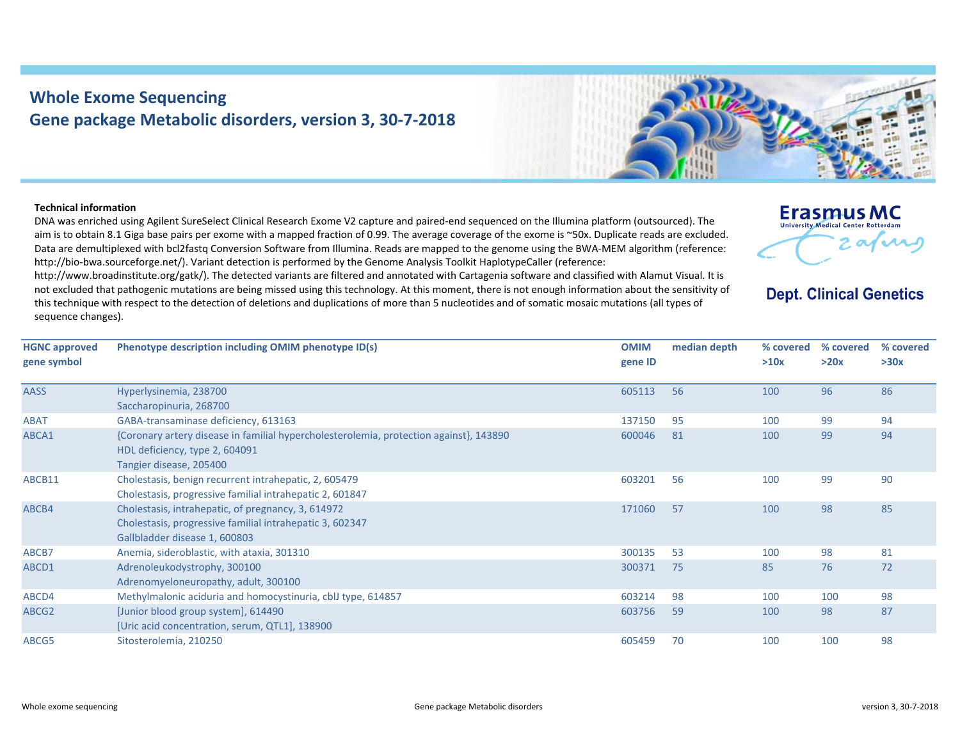## **Whole Exome Sequencing Gene package Metabolic disorders, version 3, 30‐7‐2018**



## **Technical information**

DNA was enriched using Agilent SureSelect Clinical Research Exome V2 capture and paired‐end sequenced on the Illumina platform (outsourced). The aim is to obtain 8.1 Giga base pairs per exome with <sup>a</sup> mapped fraction of 0.99. The average coverage of the exome is ~50x. Duplicate reads are excluded. Data are demultiplexed with bcl2fastq Conversion Software from Illumina. Reads are mapped to the genome using the BWA‐MEM algorithm (reference: http://bio-bwa.sourceforge.net/). Variant detection is performed by the Genome Analysis Toolkit HaplotypeCaller (reference:

http://www.broadinstitute.org/gatk/). The detected variants are filtered and annotated with Cartagenia software and classified with Alamut Visual. It is not excluded that pathogenic mutations are being missed using this technology. At this moment, there is not enough information about the sensitivity of this technique with respect to the detection of deletions and duplications of more than 5 nucleotides and of somatic mosaic mutations (all types of sequence changes).



**Dept. Clinical Genetics** 

| <b>HGNC approved</b> | Phenotype description including OMIM phenotype ID(s)                                   | <b>OMIM</b> | median depth | % covered | % covered | % covered |
|----------------------|----------------------------------------------------------------------------------------|-------------|--------------|-----------|-----------|-----------|
| gene symbol          |                                                                                        | gene ID     |              | >10x      | >20x      | >30x      |
| <b>AASS</b>          | Hyperlysinemia, 238700                                                                 | 605113      | 56           | 100       | 96        | 86        |
|                      | Saccharopinuria, 268700                                                                |             |              |           |           |           |
| <b>ABAT</b>          | GABA-transaminase deficiency, 613163                                                   | 137150      | 95           | 100       | 99        | 94        |
| ABCA1                | {Coronary artery disease in familial hypercholesterolemia, protection against}, 143890 | 600046      | 81           | 100       | 99        | 94        |
|                      | HDL deficiency, type 2, 604091                                                         |             |              |           |           |           |
|                      | Tangier disease, 205400                                                                |             |              |           |           |           |
| ABCB11               | Cholestasis, benign recurrent intrahepatic, 2, 605479                                  | 603201      | 56           | 100       | 99        | 90        |
|                      | Cholestasis, progressive familial intrahepatic 2, 601847                               |             |              |           |           |           |
| ABCB4                | Cholestasis, intrahepatic, of pregnancy, 3, 614972                                     | 171060      | 57           | 100       | 98        | 85        |
|                      | Cholestasis, progressive familial intrahepatic 3, 602347                               |             |              |           |           |           |
|                      | Gallbladder disease 1, 600803                                                          |             |              |           |           |           |
| ABCB7                | Anemia, sideroblastic, with ataxia, 301310                                             | 300135      | 53           | 100       | 98        | 81        |
| ABCD1                | Adrenoleukodystrophy, 300100                                                           | 300371      | 75           | 85        | 76        | 72        |
|                      | Adrenomyeloneuropathy, adult, 300100                                                   |             |              |           |           |           |
| ABCD4                | Methylmalonic aciduria and homocystinuria, cblJ type, 614857                           | 603214      | 98           | 100       | 100       | 98        |
| ABCG2                | [Junior blood group system], 614490                                                    | 603756      | 59           | 100       | 98        | 87        |
|                      | [Uric acid concentration, serum, QTL1], 138900                                         |             |              |           |           |           |
| ABCG5                | Sitosterolemia, 210250                                                                 | 605459      | 70           | 100       | 100       | 98        |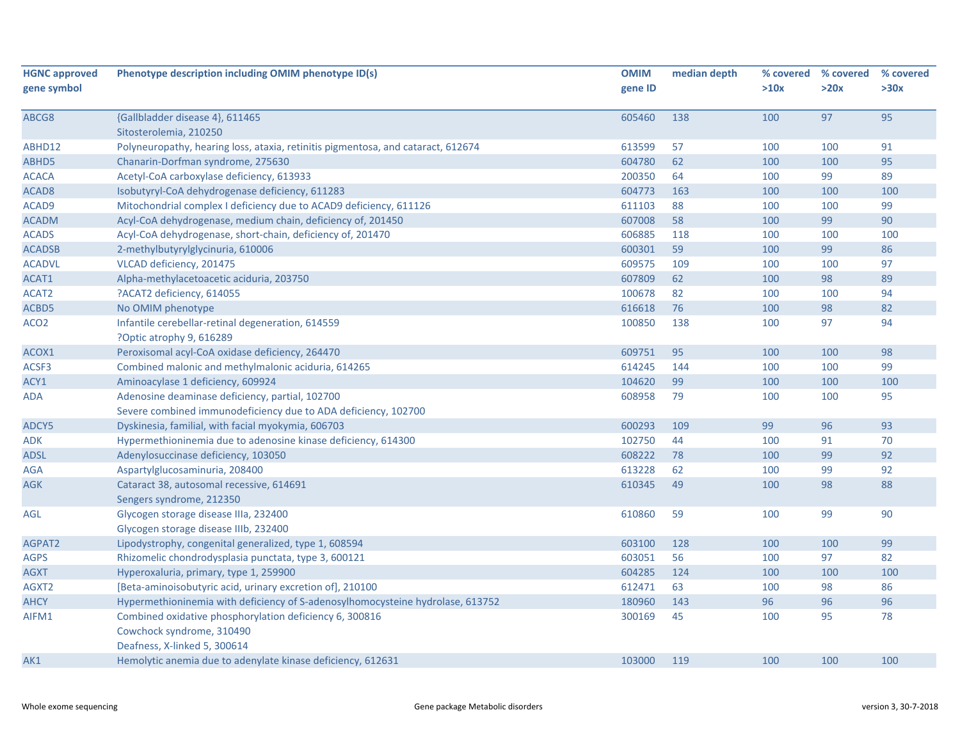| <b>HGNC approved</b> | Phenotype description including OMIM phenotype ID(s)                             | <b>OMIM</b> | median depth | % covered | % covered | % covered |
|----------------------|----------------------------------------------------------------------------------|-------------|--------------|-----------|-----------|-----------|
| gene symbol          |                                                                                  | gene ID     |              | >10x      | >20x      | >30x      |
| ABCG8                | {Gallbladder disease 4}, 611465                                                  | 605460      | 138          | 100       | 97        | 95        |
|                      | Sitosterolemia, 210250                                                           |             |              |           |           |           |
| ABHD12               | Polyneuropathy, hearing loss, ataxia, retinitis pigmentosa, and cataract, 612674 | 613599      | 57           | 100       | 100       | 91        |
| ABHD5                | Chanarin-Dorfman syndrome, 275630                                                | 604780      | 62           | 100       | 100       | 95        |
| <b>ACACA</b>         | Acetyl-CoA carboxylase deficiency, 613933                                        | 200350      | 64           | 100       | 99        | 89        |
| ACAD <sub>8</sub>    | Isobutyryl-CoA dehydrogenase deficiency, 611283                                  | 604773      | 163          | 100       | 100       | 100       |
| ACAD9                | Mitochondrial complex I deficiency due to ACAD9 deficiency, 611126               | 611103      | 88           | 100       | 100       | 99        |
| <b>ACADM</b>         | Acyl-CoA dehydrogenase, medium chain, deficiency of, 201450                      | 607008      | 58           | 100       | 99        | 90        |
| <b>ACADS</b>         | Acyl-CoA dehydrogenase, short-chain, deficiency of, 201470                       | 606885      | 118          | 100       | 100       | 100       |
| <b>ACADSB</b>        | 2-methylbutyrylglycinuria, 610006                                                | 600301      | 59           | 100       | 99        | 86        |
| <b>ACADVL</b>        | VLCAD deficiency, 201475                                                         | 609575      | 109          | 100       | 100       | 97        |
| ACAT1                | Alpha-methylacetoacetic aciduria, 203750                                         | 607809      | 62           | 100       | 98        | 89        |
| ACAT2                | ?ACAT2 deficiency, 614055                                                        | 100678      | 82           | 100       | 100       | 94        |
| ACBD5                | No OMIM phenotype                                                                | 616618      | 76           | 100       | 98        | 82        |
| ACO <sub>2</sub>     | Infantile cerebellar-retinal degeneration, 614559                                | 100850      | 138          | 100       | 97        | 94        |
|                      | ?Optic atrophy 9, 616289                                                         |             |              |           |           |           |
| ACOX1                | Peroxisomal acyl-CoA oxidase deficiency, 264470                                  | 609751      | 95           | 100       | 100       | 98        |
| ACSF3                | Combined malonic and methylmalonic aciduria, 614265                              | 614245      | 144          | 100       | 100       | 99        |
| ACY1                 | Aminoacylase 1 deficiency, 609924                                                | 104620      | 99           | 100       | 100       | 100       |
| ADA                  | Adenosine deaminase deficiency, partial, 102700                                  | 608958      | 79           | 100       | 100       | 95        |
|                      | Severe combined immunodeficiency due to ADA deficiency, 102700                   |             |              |           |           |           |
| ADCY5                | Dyskinesia, familial, with facial myokymia, 606703                               | 600293      | 109          | 99        | 96        | 93        |
| <b>ADK</b>           | Hypermethioninemia due to adenosine kinase deficiency, 614300                    | 102750      | 44           | 100       | 91        | 70        |
| <b>ADSL</b>          | Adenylosuccinase deficiency, 103050                                              | 608222      | 78           | 100       | 99        | 92        |
| AGA                  | Aspartylglucosaminuria, 208400                                                   | 613228      | 62           | 100       | 99        | 92        |
| <b>AGK</b>           | Cataract 38, autosomal recessive, 614691                                         | 610345      | 49           | 100       | 98        | 88        |
|                      | Sengers syndrome, 212350                                                         |             |              |           |           |           |
| AGL                  | Glycogen storage disease IIIa, 232400                                            | 610860      | 59           | 100       | 99        | 90        |
|                      | Glycogen storage disease IIIb, 232400                                            |             |              |           |           |           |
| AGPAT2               | Lipodystrophy, congenital generalized, type 1, 608594                            | 603100      | 128          | 100       | 100       | 99        |
| <b>AGPS</b>          | Rhizomelic chondrodysplasia punctata, type 3, 600121                             | 603051      | 56           | 100       | 97        | 82        |
| AGXT                 | Hyperoxaluria, primary, type 1, 259900                                           | 604285      | 124          | 100       | 100       | 100       |
| AGXT2                | [Beta-aminoisobutyric acid, urinary excretion of], 210100                        | 612471      | 63           | 100       | 98        | 86        |
| <b>AHCY</b>          | Hypermethioninemia with deficiency of S-adenosylhomocysteine hydrolase, 613752   | 180960      | 143          | 96        | 96        | 96        |
| AIFM1                | Combined oxidative phosphorylation deficiency 6, 300816                          | 300169      | 45           | 100       | 95        | 78        |
|                      | Cowchock syndrome, 310490                                                        |             |              |           |           |           |
|                      | Deafness, X-linked 5, 300614                                                     |             |              |           |           |           |
| AK1                  | Hemolytic anemia due to adenylate kinase deficiency, 612631                      | 103000      | 119          | 100       | 100       | 100       |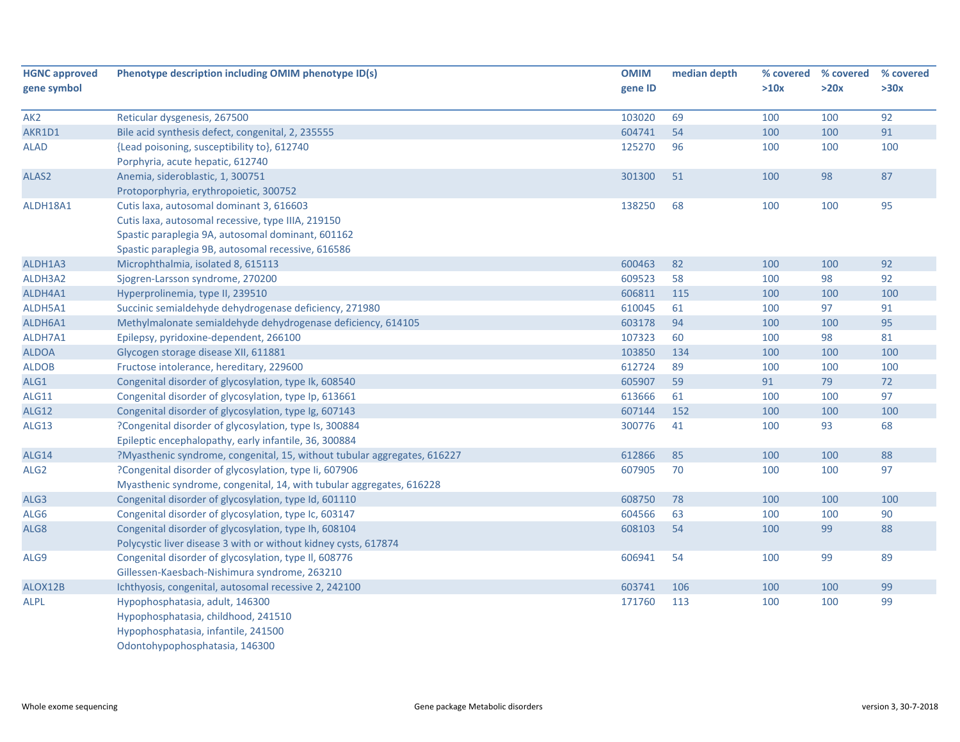| <b>HGNC approved</b> | Phenotype description including OMIM phenotype ID(s)                     | <b>OMIM</b> | median depth | % covered | % covered | % covered |
|----------------------|--------------------------------------------------------------------------|-------------|--------------|-----------|-----------|-----------|
| gene symbol          |                                                                          | gene ID     |              | >10x      | >20x      | >30x      |
| AK <sub>2</sub>      | Reticular dysgenesis, 267500                                             | 103020      | 69           | 100       | 100       | 92        |
| AKR1D1               | Bile acid synthesis defect, congenital, 2, 235555                        | 604741      | 54           | 100       | 100       | 91        |
| <b>ALAD</b>          | {Lead poisoning, susceptibility to}, 612740                              | 125270      | 96           | 100       | 100       | 100       |
|                      | Porphyria, acute hepatic, 612740                                         |             |              |           |           |           |
| ALAS2                | Anemia, sideroblastic, 1, 300751                                         | 301300      | 51           | 100       | 98        | 87        |
|                      | Protoporphyria, erythropoietic, 300752                                   |             |              |           |           |           |
| ALDH18A1             | Cutis laxa, autosomal dominant 3, 616603                                 | 138250      | 68           | 100       | 100       | 95        |
|                      | Cutis laxa, autosomal recessive, type IIIA, 219150                       |             |              |           |           |           |
|                      | Spastic paraplegia 9A, autosomal dominant, 601162                        |             |              |           |           |           |
|                      | Spastic paraplegia 9B, autosomal recessive, 616586                       |             |              |           |           |           |
| ALDH1A3              | Microphthalmia, isolated 8, 615113                                       | 600463      | 82           | 100       | 100       | 92        |
| ALDH3A2              | Sjogren-Larsson syndrome, 270200                                         | 609523      | 58           | 100       | 98        | 92        |
| ALDH4A1              | Hyperprolinemia, type II, 239510                                         | 606811      | 115          | 100       | 100       | 100       |
| ALDH5A1              | Succinic semialdehyde dehydrogenase deficiency, 271980                   | 610045      | 61           | 100       | 97        | 91        |
| ALDH6A1              | Methylmalonate semialdehyde dehydrogenase deficiency, 614105             | 603178      | 94           | 100       | 100       | 95        |
| ALDH7A1              | Epilepsy, pyridoxine-dependent, 266100                                   | 107323      | 60           | 100       | 98        | 81        |
| <b>ALDOA</b>         | Glycogen storage disease XII, 611881                                     | 103850      | 134          | 100       | 100       | 100       |
| <b>ALDOB</b>         | Fructose intolerance, hereditary, 229600                                 | 612724      | 89           | 100       | 100       | 100       |
| ALG1                 | Congenital disorder of glycosylation, type Ik, 608540                    | 605907      | 59           | 91        | 79        | 72        |
| <b>ALG11</b>         | Congenital disorder of glycosylation, type Ip, 613661                    | 613666      | 61           | 100       | 100       | 97        |
| <b>ALG12</b>         | Congenital disorder of glycosylation, type Ig, 607143                    | 607144      | 152          | 100       | 100       | 100       |
| ALG13                | ?Congenital disorder of glycosylation, type Is, 300884                   | 300776      | 41           | 100       | 93        | 68        |
|                      | Epileptic encephalopathy, early infantile, 36, 300884                    |             |              |           |           |           |
| <b>ALG14</b>         | ?Myasthenic syndrome, congenital, 15, without tubular aggregates, 616227 | 612866      | 85           | 100       | 100       | 88        |
| ALG <sub>2</sub>     | ?Congenital disorder of glycosylation, type Ii, 607906                   | 607905      | 70           | 100       | 100       | 97        |
|                      | Myasthenic syndrome, congenital, 14, with tubular aggregates, 616228     |             |              |           |           |           |
| ALG3                 | Congenital disorder of glycosylation, type Id, 601110                    | 608750      | 78           | 100       | 100       | 100       |
| ALG6                 | Congenital disorder of glycosylation, type Ic, 603147                    | 604566      | 63           | 100       | 100       | 90        |
| ALG8                 | Congenital disorder of glycosylation, type Ih, 608104                    | 608103      | 54           | 100       | 99        | 88        |
|                      | Polycystic liver disease 3 with or without kidney cysts, 617874          |             |              |           |           |           |
| ALG9                 | Congenital disorder of glycosylation, type II, 608776                    | 606941      | 54           | 100       | 99        | 89        |
|                      | Gillessen-Kaesbach-Nishimura syndrome, 263210                            |             |              |           |           |           |
| ALOX12B              | Ichthyosis, congenital, autosomal recessive 2, 242100                    | 603741      | 106          | 100       | 100       | 99        |
| <b>ALPL</b>          | Hypophosphatasia, adult, 146300                                          | 171760      | 113          | 100       | 100       | 99        |
|                      | Hypophosphatasia, childhood, 241510                                      |             |              |           |           |           |
|                      | Hypophosphatasia, infantile, 241500                                      |             |              |           |           |           |
|                      | Odontohypophosphatasia, 146300                                           |             |              |           |           |           |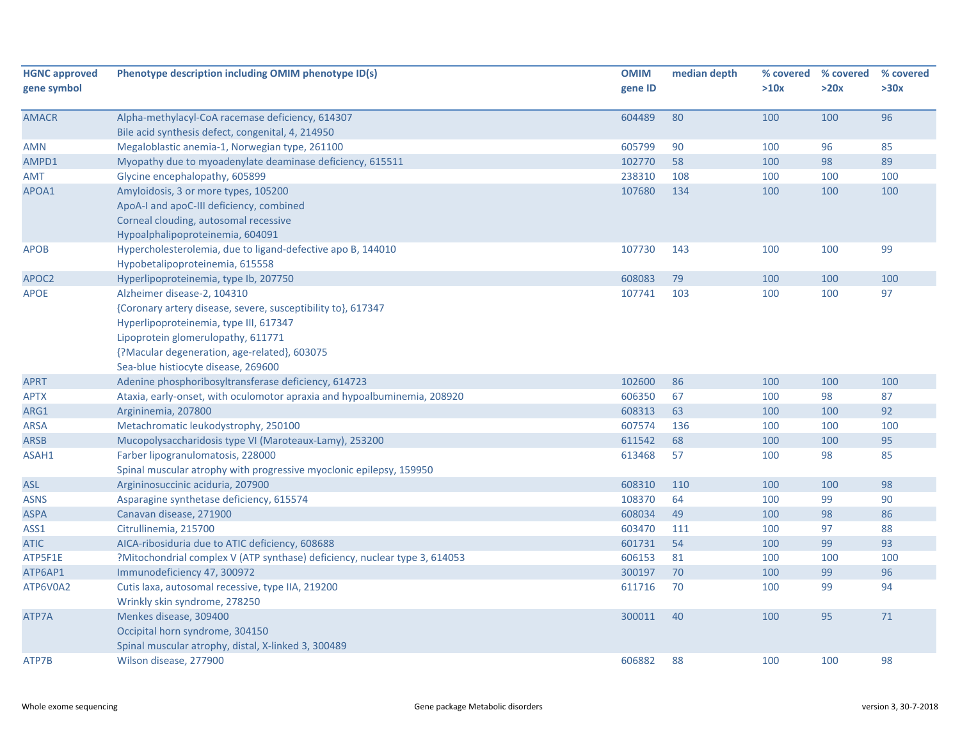| <b>HGNC approved</b><br>gene symbol | Phenotype description including OMIM phenotype ID(s)                       | <b>OMIM</b><br>gene ID | median depth | >10x | % covered % covered<br>>20x | % covered<br>>30x |
|-------------------------------------|----------------------------------------------------------------------------|------------------------|--------------|------|-----------------------------|-------------------|
|                                     |                                                                            |                        |              |      |                             |                   |
| <b>AMACR</b>                        | Alpha-methylacyl-CoA racemase deficiency, 614307                           | 604489                 | 80           | 100  | 100                         | 96                |
|                                     | Bile acid synthesis defect, congenital, 4, 214950                          |                        |              |      |                             |                   |
| AMN                                 | Megaloblastic anemia-1, Norwegian type, 261100                             | 605799                 | 90           | 100  | 96                          | 85                |
| AMPD1                               | Myopathy due to myoadenylate deaminase deficiency, 615511                  | 102770                 | 58           | 100  | 98                          | 89                |
| AMT                                 | Glycine encephalopathy, 605899                                             | 238310                 | 108          | 100  | 100                         | 100               |
| APOA1                               | Amyloidosis, 3 or more types, 105200                                       | 107680                 | 134          | 100  | 100                         | 100               |
|                                     | ApoA-I and apoC-III deficiency, combined                                   |                        |              |      |                             |                   |
|                                     | Corneal clouding, autosomal recessive                                      |                        |              |      |                             |                   |
|                                     | Hypoalphalipoproteinemia, 604091                                           |                        |              |      |                             |                   |
| <b>APOB</b>                         | Hypercholesterolemia, due to ligand-defective apo B, 144010                | 107730                 | 143          | 100  | 100                         | 99                |
|                                     | Hypobetalipoproteinemia, 615558                                            |                        |              |      |                             |                   |
| APOC2                               | Hyperlipoproteinemia, type Ib, 207750                                      | 608083                 | 79           | 100  | 100                         | 100               |
| <b>APOE</b>                         | Alzheimer disease-2, 104310                                                | 107741                 | 103          | 100  | 100                         | 97                |
|                                     | {Coronary artery disease, severe, susceptibility to}, 617347               |                        |              |      |                             |                   |
|                                     | Hyperlipoproteinemia, type III, 617347                                     |                        |              |      |                             |                   |
|                                     | Lipoprotein glomerulopathy, 611771                                         |                        |              |      |                             |                   |
|                                     | {?Macular degeneration, age-related}, 603075                               |                        |              |      |                             |                   |
|                                     | Sea-blue histiocyte disease, 269600                                        |                        |              |      |                             |                   |
| <b>APRT</b>                         | Adenine phosphoribosyltransferase deficiency, 614723                       | 102600                 | 86           | 100  | 100                         | 100               |
| APTX                                | Ataxia, early-onset, with oculomotor apraxia and hypoalbuminemia, 208920   | 606350                 | 67           | 100  | 98                          | 87                |
| ARG1                                | Argininemia, 207800                                                        | 608313                 | 63           | 100  | 100                         | 92                |
| <b>ARSA</b>                         | Metachromatic leukodystrophy, 250100                                       | 607574                 | 136          | 100  | 100                         | 100               |
| <b>ARSB</b>                         | Mucopolysaccharidosis type VI (Maroteaux-Lamy), 253200                     | 611542                 | 68           | 100  | 100                         | 95                |
| ASAH1                               | Farber lipogranulomatosis, 228000                                          | 613468                 | 57           | 100  | 98                          | 85                |
|                                     | Spinal muscular atrophy with progressive myoclonic epilepsy, 159950        |                        |              |      |                             |                   |
| <b>ASL</b>                          | Argininosuccinic aciduria, 207900                                          | 608310                 | 110          | 100  | 100                         | 98                |
| ASNS                                | Asparagine synthetase deficiency, 615574                                   | 108370                 | 64           | 100  | 99                          | 90                |
| <b>ASPA</b>                         | Canavan disease, 271900                                                    | 608034                 | 49           | 100  | 98                          | 86                |
| ASS1                                | Citrullinemia, 215700                                                      | 603470                 | 111          | 100  | 97                          | 88                |
| <b>ATIC</b>                         | AICA-ribosiduria due to ATIC deficiency, 608688                            | 601731                 | 54           | 100  | 99                          | 93                |
| ATP5F1E                             | ?Mitochondrial complex V (ATP synthase) deficiency, nuclear type 3, 614053 | 606153                 | 81           | 100  | 100                         | 100               |
| ATP6AP1                             | Immunodeficiency 47, 300972                                                | 300197                 | 70           | 100  | 99                          | 96                |
| ATP6V0A2                            | Cutis laxa, autosomal recessive, type IIA, 219200                          | 611716                 | 70           | 100  | 99                          | 94                |
|                                     | Wrinkly skin syndrome, 278250                                              |                        |              |      |                             |                   |
| ATP7A                               | Menkes disease, 309400                                                     | 300011                 | 40           | 100  | 95                          | 71                |
|                                     | Occipital horn syndrome, 304150                                            |                        |              |      |                             |                   |
|                                     | Spinal muscular atrophy, distal, X-linked 3, 300489                        |                        |              |      |                             |                   |
| ATP7B                               | Wilson disease, 277900                                                     | 606882                 | 88           | 100  | 100                         | 98                |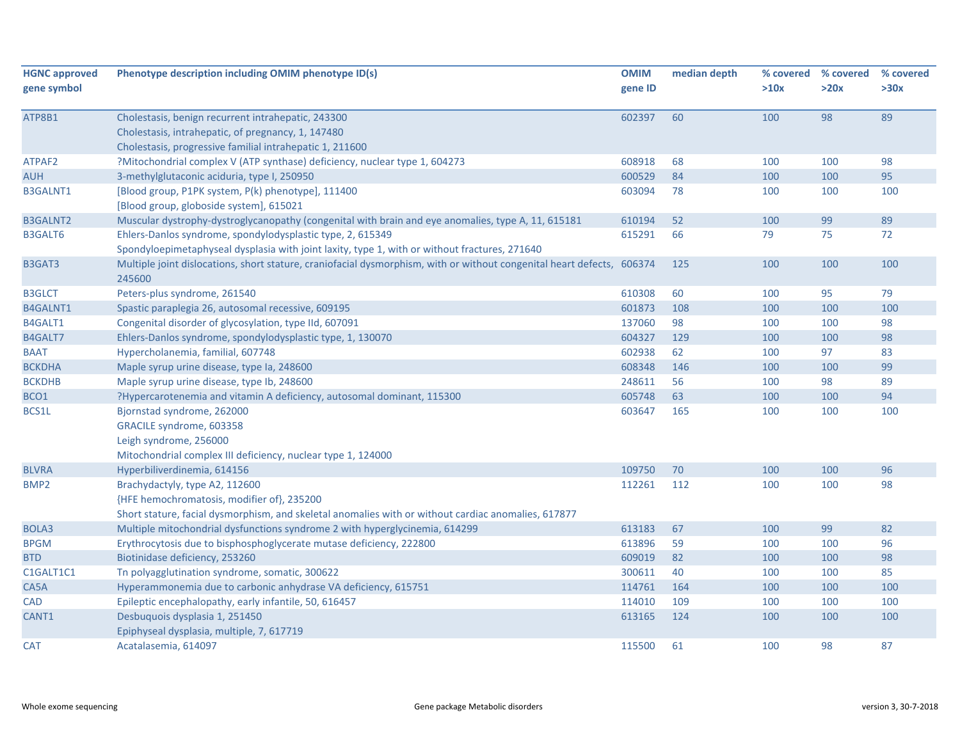| <b>HGNC approved</b> | Phenotype description including OMIM phenotype ID(s)                                                                   | <b>OMIM</b> | median depth | % covered | % covered | % covered |
|----------------------|------------------------------------------------------------------------------------------------------------------------|-------------|--------------|-----------|-----------|-----------|
| gene symbol          |                                                                                                                        | gene ID     |              | >10x      | >20x      | >30x      |
|                      |                                                                                                                        |             |              |           |           |           |
| ATP8B1               | Cholestasis, benign recurrent intrahepatic, 243300                                                                     | 602397      | 60           | 100       | 98        | 89        |
|                      | Cholestasis, intrahepatic, of pregnancy, 1, 147480                                                                     |             |              |           |           |           |
|                      | Cholestasis, progressive familial intrahepatic 1, 211600                                                               |             |              |           |           |           |
| ATPAF2               | ?Mitochondrial complex V (ATP synthase) deficiency, nuclear type 1, 604273                                             | 608918      | 68           | 100       | 100       | 98        |
| <b>AUH</b>           | 3-methylglutaconic aciduria, type I, 250950                                                                            | 600529      | 84           | 100       | 100       | 95        |
| <b>B3GALNT1</b>      | [Blood group, P1PK system, P(k) phenotype], 111400                                                                     | 603094      | 78           | 100       | 100       | 100       |
|                      | [Blood group, globoside system], 615021                                                                                |             |              |           |           |           |
| <b>B3GALNT2</b>      | Muscular dystrophy-dystroglycanopathy (congenital with brain and eye anomalies, type A, 11, 615181                     | 610194      | 52           | 100       | 99        | 89        |
| <b>B3GALT6</b>       | Ehlers-Danlos syndrome, spondylodysplastic type, 2, 615349                                                             | 615291      | 66           | 79        | 75        | 72        |
|                      | Spondyloepimetaphyseal dysplasia with joint laxity, type 1, with or without fractures, 271640                          |             |              |           |           |           |
| B3GAT3               | Multiple joint dislocations, short stature, craniofacial dysmorphism, with or without congenital heart defects, 606374 |             | 125          | 100       | 100       | 100       |
|                      | 245600                                                                                                                 |             |              |           |           |           |
| <b>B3GLCT</b>        | Peters-plus syndrome, 261540                                                                                           | 610308      | 60           | 100       | 95        | 79        |
| B4GALNT1             | Spastic paraplegia 26, autosomal recessive, 609195                                                                     | 601873      | 108          | 100       | 100       | 100       |
| B4GALT1              | Congenital disorder of glycosylation, type IId, 607091                                                                 | 137060      | 98           | 100       | 100       | 98        |
| B4GALT7              | Ehlers-Danlos syndrome, spondylodysplastic type, 1, 130070                                                             | 604327      | 129          | 100       | 100       | 98        |
| <b>BAAT</b>          | Hypercholanemia, familial, 607748                                                                                      | 602938      | 62           | 100       | 97        | 83        |
| <b>BCKDHA</b>        | Maple syrup urine disease, type Ia, 248600                                                                             | 608348      | 146          | 100       | 100       | 99        |
| <b>BCKDHB</b>        | Maple syrup urine disease, type lb, 248600                                                                             | 248611      | 56           | 100       | 98        | 89        |
| BCO1                 | ?Hypercarotenemia and vitamin A deficiency, autosomal dominant, 115300                                                 | 605748      | 63           | 100       | 100       | 94        |
| BCS1L                | Bjornstad syndrome, 262000                                                                                             | 603647      | 165          | 100       | 100       | 100       |
|                      | GRACILE syndrome, 603358                                                                                               |             |              |           |           |           |
|                      | Leigh syndrome, 256000                                                                                                 |             |              |           |           |           |
|                      | Mitochondrial complex III deficiency, nuclear type 1, 124000                                                           |             |              |           |           |           |
| <b>BLVRA</b>         | Hyperbiliverdinemia, 614156                                                                                            | 109750      | 70           | 100       | 100       | 96        |
| BMP <sub>2</sub>     | Brachydactyly, type A2, 112600                                                                                         | 112261      | 112          | 100       | 100       | 98        |
|                      | {HFE hemochromatosis, modifier of}, 235200                                                                             |             |              |           |           |           |
|                      | Short stature, facial dysmorphism, and skeletal anomalies with or without cardiac anomalies, 617877                    |             |              |           |           |           |
| BOLA3                | Multiple mitochondrial dysfunctions syndrome 2 with hyperglycinemia, 614299                                            | 613183      | 67           | 100       | 99        | 82        |
| <b>BPGM</b>          | Erythrocytosis due to bisphosphoglycerate mutase deficiency, 222800                                                    | 613896      | 59           | 100       | 100       | 96        |
| <b>BTD</b>           | Biotinidase deficiency, 253260                                                                                         | 609019      | 82           | 100       | 100       | 98        |
| C1GALT1C1            | Tn polyagglutination syndrome, somatic, 300622                                                                         | 300611      | 40           | 100       | 100       | 85        |
| CA5A                 | Hyperammonemia due to carbonic anhydrase VA deficiency, 615751                                                         | 114761      | 164          | 100       | 100       | 100       |
| CAD                  | Epileptic encephalopathy, early infantile, 50, 616457                                                                  | 114010      | 109          | 100       | 100       | 100       |
| CANT1                | Desbuquois dysplasia 1, 251450                                                                                         | 613165      | 124          | 100       | 100       | 100       |
|                      | Epiphyseal dysplasia, multiple, 7, 617719                                                                              |             |              |           |           |           |
| <b>CAT</b>           | Acatalasemia, 614097                                                                                                   | 115500      | 61           | 100       | 98        | 87        |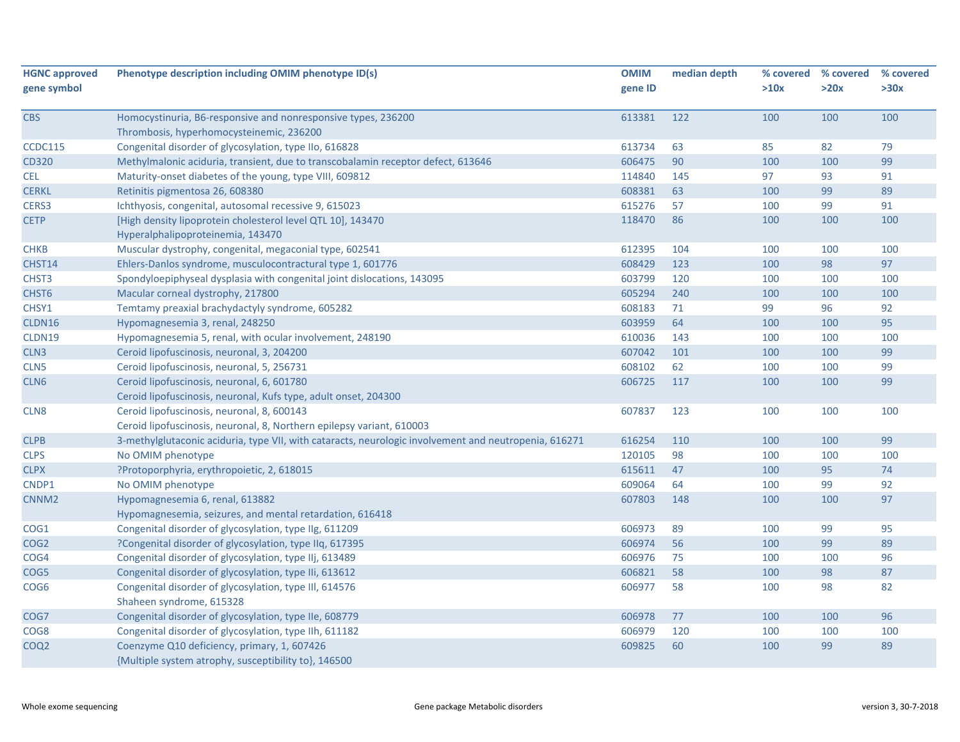| <b>HGNC approved</b> | Phenotype description including OMIM phenotype ID(s)                                                  | <b>OMIM</b> | median depth |      | % covered % covered | % covered |
|----------------------|-------------------------------------------------------------------------------------------------------|-------------|--------------|------|---------------------|-----------|
| gene symbol          |                                                                                                       | gene ID     |              | >10x | >20x                | >30x      |
| <b>CBS</b>           | Homocystinuria, B6-responsive and nonresponsive types, 236200                                         | 613381      | 122          | 100  | 100                 | 100       |
|                      | Thrombosis, hyperhomocysteinemic, 236200                                                              |             |              |      |                     |           |
| <b>CCDC115</b>       | Congenital disorder of glycosylation, type IIo, 616828                                                | 613734      | 63           | 85   | 82                  | 79        |
| <b>CD320</b>         | Methylmalonic aciduria, transient, due to transcobalamin receptor defect, 613646                      | 606475      | 90           | 100  | 100                 | 99        |
| <b>CEL</b>           | Maturity-onset diabetes of the young, type VIII, 609812                                               | 114840      | 145          | 97   | 93                  | 91        |
| <b>CERKL</b>         | Retinitis pigmentosa 26, 608380                                                                       | 608381      | 63           | 100  | 99                  | 89        |
| CERS3                | Ichthyosis, congenital, autosomal recessive 9, 615023                                                 | 615276      | 57           | 100  | 99                  | 91        |
| <b>CETP</b>          | [High density lipoprotein cholesterol level QTL 10], 143470<br>Hyperalphalipoproteinemia, 143470      | 118470      | 86           | 100  | 100                 | 100       |
| <b>CHKB</b>          | Muscular dystrophy, congenital, megaconial type, 602541                                               | 612395      | 104          | 100  | 100                 | 100       |
| CHST14               | Ehlers-Danlos syndrome, musculocontractural type 1, 601776                                            | 608429      | 123          | 100  | 98                  | 97        |
| CHST <sub>3</sub>    | Spondyloepiphyseal dysplasia with congenital joint dislocations, 143095                               | 603799      | 120          | 100  | 100                 | 100       |
| CHST6                | Macular corneal dystrophy, 217800                                                                     | 605294      | 240          | 100  | 100                 | 100       |
| CHSY1                | Temtamy preaxial brachydactyly syndrome, 605282                                                       | 608183      | 71           | 99   | 96                  | 92        |
| CLDN16               | Hypomagnesemia 3, renal, 248250                                                                       | 603959      | 64           | 100  | 100                 | 95        |
| CLDN19               | Hypomagnesemia 5, renal, with ocular involvement, 248190                                              | 610036      | 143          | 100  | 100                 | 100       |
| CLN3                 | Ceroid lipofuscinosis, neuronal, 3, 204200                                                            | 607042      | 101          | 100  | 100                 | 99        |
| CLN <sub>5</sub>     | Ceroid lipofuscinosis, neuronal, 5, 256731                                                            | 608102      | 62           | 100  | 100                 | 99        |
| CLN <sub>6</sub>     | Ceroid lipofuscinosis, neuronal, 6, 601780                                                            | 606725      | 117          | 100  | 100                 | 99        |
|                      | Ceroid lipofuscinosis, neuronal, Kufs type, adult onset, 204300                                       |             |              |      |                     |           |
| CLN8                 | Ceroid lipofuscinosis, neuronal, 8, 600143                                                            | 607837      | 123          | 100  | 100                 | 100       |
|                      | Ceroid lipofuscinosis, neuronal, 8, Northern epilepsy variant, 610003                                 |             |              |      |                     |           |
| <b>CLPB</b>          | 3-methylglutaconic aciduria, type VII, with cataracts, neurologic involvement and neutropenia, 616271 | 616254      | 110          | 100  | 100                 | 99        |
| <b>CLPS</b>          | No OMIM phenotype                                                                                     | 120105      | 98           | 100  | 100                 | 100       |
| <b>CLPX</b>          | ?Protoporphyria, erythropoietic, 2, 618015                                                            | 615611      | 47           | 100  | 95                  | 74        |
| CNDP1                | No OMIM phenotype                                                                                     | 609064      | 64           | 100  | 99                  | 92        |
| CNNM <sub>2</sub>    | Hypomagnesemia 6, renal, 613882                                                                       | 607803      | 148          | 100  | 100                 | 97        |
|                      | Hypomagnesemia, seizures, and mental retardation, 616418                                              |             |              |      |                     |           |
| COG1                 | Congenital disorder of glycosylation, type IIg, 611209                                                | 606973      | 89           | 100  | 99                  | 95        |
| COG <sub>2</sub>     | ?Congenital disorder of glycosylation, type IIq, 617395                                               | 606974      | 56           | 100  | 99                  | 89        |
| COG4                 | Congenital disorder of glycosylation, type IIj, 613489                                                | 606976      | 75           | 100  | 100                 | 96        |
| COG5                 | Congenital disorder of glycosylation, type IIi, 613612                                                | 606821      | 58           | 100  | 98                  | 87        |
| COG <sub>6</sub>     | Congenital disorder of glycosylation, type III, 614576<br>Shaheen syndrome, 615328                    | 606977      | 58           | 100  | 98                  | 82        |
| COG7                 | Congenital disorder of glycosylation, type IIe, 608779                                                | 606978      | 77           | 100  | 100                 | 96        |
| COG8                 | Congenital disorder of glycosylation, type IIh, 611182                                                | 606979      | 120          | 100  | 100                 | 100       |
| COQ <sub>2</sub>     | Coenzyme Q10 deficiency, primary, 1, 607426<br>{Multiple system atrophy, susceptibility to}, 146500   | 609825      | 60           | 100  | 99                  | 89        |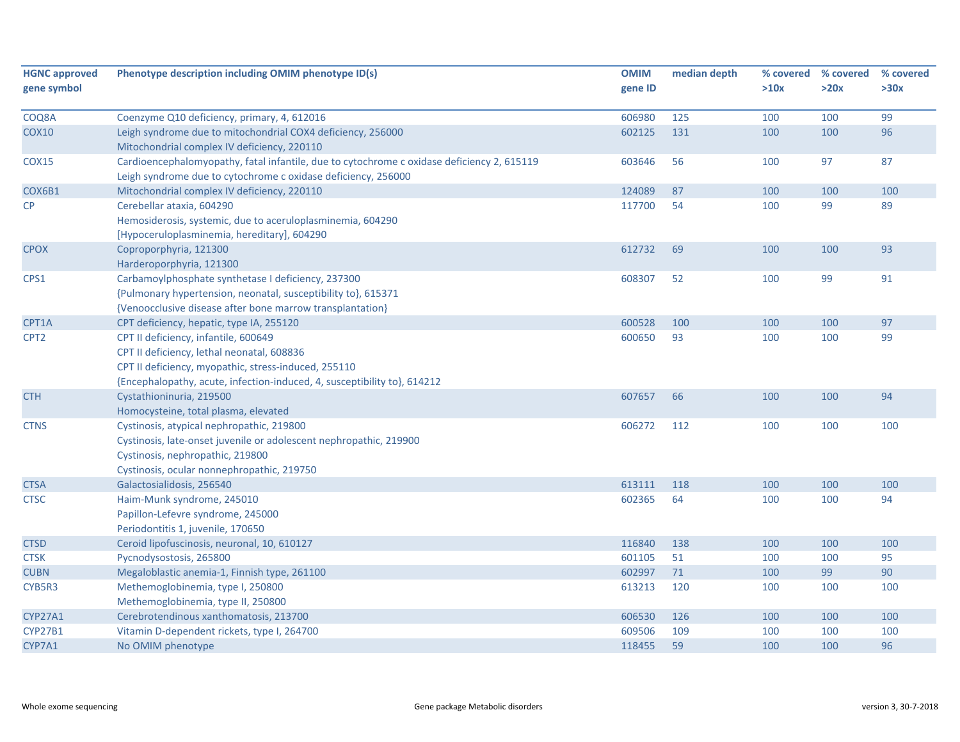| <b>HGNC approved</b><br>gene symbol | Phenotype description including OMIM phenotype ID(s)                                                                                                        | <b>OMIM</b><br>gene ID | median depth | % covered<br>>10x | % covered<br>>20x | % covered<br>>30x |
|-------------------------------------|-------------------------------------------------------------------------------------------------------------------------------------------------------------|------------------------|--------------|-------------------|-------------------|-------------------|
| COQ8A                               | Coenzyme Q10 deficiency, primary, 4, 612016                                                                                                                 | 606980                 | 125          | 100               | 100               | 99                |
| <b>COX10</b>                        | Leigh syndrome due to mitochondrial COX4 deficiency, 256000                                                                                                 | 602125                 | 131          | 100               | 100               | 96                |
|                                     | Mitochondrial complex IV deficiency, 220110                                                                                                                 |                        |              |                   |                   |                   |
| <b>COX15</b>                        | Cardioencephalomyopathy, fatal infantile, due to cytochrome c oxidase deficiency 2, 615119<br>Leigh syndrome due to cytochrome c oxidase deficiency, 256000 | 603646                 | 56           | 100               | 97                | 87                |
| COX6B1                              | Mitochondrial complex IV deficiency, 220110                                                                                                                 | 124089                 | 87           | 100               | 100               | 100               |
| CP                                  | Cerebellar ataxia, 604290                                                                                                                                   | 117700                 | 54           | 100               | 99                | 89                |
|                                     | Hemosiderosis, systemic, due to aceruloplasminemia, 604290                                                                                                  |                        |              |                   |                   |                   |
|                                     | [Hypoceruloplasminemia, hereditary], 604290                                                                                                                 |                        |              |                   |                   |                   |
| <b>CPOX</b>                         | Coproporphyria, 121300                                                                                                                                      | 612732                 | 69           | 100               | 100               | 93                |
|                                     | Harderoporphyria, 121300                                                                                                                                    |                        |              |                   |                   |                   |
| CPS1                                | Carbamoylphosphate synthetase I deficiency, 237300                                                                                                          | 608307                 | 52           | 100               | 99                | 91                |
|                                     | {Pulmonary hypertension, neonatal, susceptibility to}, 615371                                                                                               |                        |              |                   |                   |                   |
|                                     | {Venoocclusive disease after bone marrow transplantation}                                                                                                   |                        |              |                   |                   |                   |
| CPT1A                               | CPT deficiency, hepatic, type IA, 255120                                                                                                                    | 600528                 | 100          | 100               | 100               | 97                |
| CPT <sub>2</sub>                    | CPT II deficiency, infantile, 600649                                                                                                                        | 600650                 | 93           | 100               | 100               | 99                |
|                                     | CPT II deficiency, lethal neonatal, 608836                                                                                                                  |                        |              |                   |                   |                   |
|                                     | CPT II deficiency, myopathic, stress-induced, 255110                                                                                                        |                        |              |                   |                   |                   |
|                                     | {Encephalopathy, acute, infection-induced, 4, susceptibility to}, 614212                                                                                    |                        |              |                   |                   |                   |
| <b>CTH</b>                          | Cystathioninuria, 219500                                                                                                                                    | 607657                 | 66           | 100               | 100               | 94                |
|                                     | Homocysteine, total plasma, elevated                                                                                                                        |                        |              |                   |                   |                   |
| <b>CTNS</b>                         | Cystinosis, atypical nephropathic, 219800                                                                                                                   | 606272                 | 112          | 100               | 100               | 100               |
|                                     | Cystinosis, late-onset juvenile or adolescent nephropathic, 219900                                                                                          |                        |              |                   |                   |                   |
|                                     | Cystinosis, nephropathic, 219800                                                                                                                            |                        |              |                   |                   |                   |
|                                     | Cystinosis, ocular nonnephropathic, 219750                                                                                                                  |                        |              |                   |                   |                   |
| <b>CTSA</b>                         | Galactosialidosis, 256540                                                                                                                                   | 613111                 | 118          | 100               | 100               | 100               |
| <b>CTSC</b>                         | Haim-Munk syndrome, 245010                                                                                                                                  | 602365                 | 64           | 100               | 100               | 94                |
|                                     | Papillon-Lefevre syndrome, 245000                                                                                                                           |                        |              |                   |                   |                   |
|                                     | Periodontitis 1, juvenile, 170650                                                                                                                           |                        |              |                   |                   |                   |
| <b>CTSD</b>                         | Ceroid lipofuscinosis, neuronal, 10, 610127                                                                                                                 | 116840                 | 138          | 100               | 100               | 100               |
| <b>CTSK</b>                         | Pycnodysostosis, 265800                                                                                                                                     | 601105                 | 51           | 100               | 100               | 95                |
| <b>CUBN</b>                         | Megaloblastic anemia-1, Finnish type, 261100                                                                                                                | 602997                 | 71           | 100               | 99                | 90                |
| CYB5R3                              | Methemoglobinemia, type I, 250800                                                                                                                           | 613213                 | 120          | 100               | 100               | 100               |
|                                     | Methemoglobinemia, type II, 250800                                                                                                                          |                        |              |                   |                   |                   |
| <b>CYP27A1</b>                      | Cerebrotendinous xanthomatosis, 213700                                                                                                                      | 606530                 | 126          | 100               | 100               | 100               |
| <b>CYP27B1</b>                      | Vitamin D-dependent rickets, type I, 264700                                                                                                                 | 609506                 | 109          | 100               | 100               | 100               |
| CYP7A1                              | No OMIM phenotype                                                                                                                                           | 118455                 | 59           | 100               | 100               | 96                |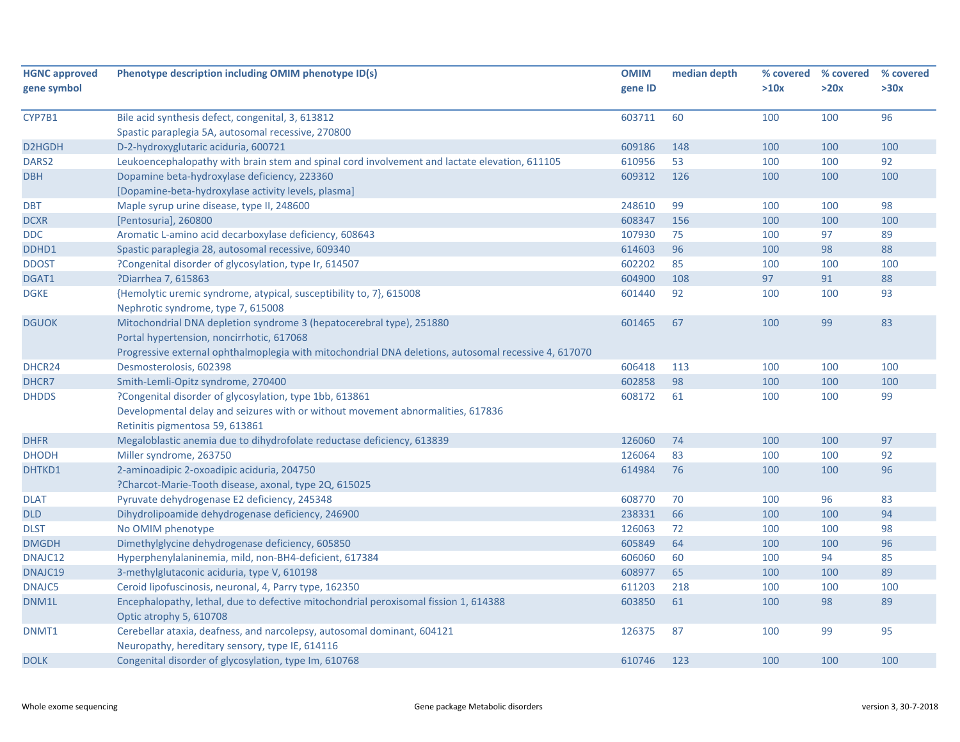| <b>HGNC approved</b><br>gene symbol | Phenotype description including OMIM phenotype ID(s)                                                            | <b>OMIM</b><br>gene ID | median depth | % covered<br>>10x | % covered<br>>20x | % covered<br>>30x |
|-------------------------------------|-----------------------------------------------------------------------------------------------------------------|------------------------|--------------|-------------------|-------------------|-------------------|
|                                     |                                                                                                                 |                        |              |                   |                   |                   |
| CYP7B1                              | Bile acid synthesis defect, congenital, 3, 613812                                                               | 603711                 | 60           | 100               | 100               | 96                |
|                                     | Spastic paraplegia 5A, autosomal recessive, 270800                                                              |                        |              |                   |                   |                   |
| D2HGDH                              | D-2-hydroxyglutaric aciduria, 600721                                                                            | 609186                 | 148          | 100               | 100               | 100               |
| DARS <sub>2</sub>                   | Leukoencephalopathy with brain stem and spinal cord involvement and lactate elevation, 611105                   | 610956                 | 53           | 100               | 100               | 92                |
| <b>DBH</b>                          | Dopamine beta-hydroxylase deficiency, 223360                                                                    | 609312                 | 126          | 100               | 100               | 100               |
|                                     | [Dopamine-beta-hydroxylase activity levels, plasma]                                                             |                        |              |                   |                   |                   |
| <b>DBT</b>                          | Maple syrup urine disease, type II, 248600                                                                      | 248610                 | 99           | 100               | 100               | 98                |
| <b>DCXR</b>                         | [Pentosuria], 260800                                                                                            | 608347                 | 156          | 100               | 100               | 100               |
| <b>DDC</b>                          | Aromatic L-amino acid decarboxylase deficiency, 608643                                                          | 107930                 | 75           | 100               | 97                | 89                |
| DDHD1                               | Spastic paraplegia 28, autosomal recessive, 609340                                                              | 614603                 | 96           | 100               | 98                | 88                |
| <b>DDOST</b>                        | ?Congenital disorder of glycosylation, type Ir, 614507                                                          | 602202                 | 85           | 100               | 100               | 100               |
| DGAT1                               | ?Diarrhea 7, 615863                                                                                             | 604900                 | 108          | 97                | 91                | 88                |
| <b>DGKE</b>                         | {Hemolytic uremic syndrome, atypical, susceptibility to, 7}, 615008                                             | 601440                 | 92           | 100               | 100               | 93                |
|                                     | Nephrotic syndrome, type 7, 615008                                                                              |                        |              |                   |                   |                   |
| <b>DGUOK</b>                        | Mitochondrial DNA depletion syndrome 3 (hepatocerebral type), 251880                                            | 601465                 | 67           | 100               | 99                | 83                |
|                                     | Portal hypertension, noncirrhotic, 617068                                                                       |                        |              |                   |                   |                   |
|                                     | Progressive external ophthalmoplegia with mitochondrial DNA deletions, autosomal recessive 4, 617070            |                        |              |                   |                   |                   |
| DHCR24                              | Desmosterolosis, 602398                                                                                         | 606418                 | 113          | 100               | 100               | 100               |
| DHCR7                               | Smith-Lemli-Opitz syndrome, 270400                                                                              | 602858                 | 98           | 100               | 100               | 100               |
| <b>DHDDS</b>                        | ?Congenital disorder of glycosylation, type 1bb, 613861                                                         | 608172                 | 61           | 100               | 100               | 99                |
|                                     | Developmental delay and seizures with or without movement abnormalities, 617836                                 |                        |              |                   |                   |                   |
|                                     | Retinitis pigmentosa 59, 613861                                                                                 |                        |              |                   |                   |                   |
| <b>DHFR</b>                         | Megaloblastic anemia due to dihydrofolate reductase deficiency, 613839                                          | 126060                 | 74           | 100               | 100               | 97                |
| <b>DHODH</b>                        | Miller syndrome, 263750                                                                                         | 126064                 | 83           | 100               | 100               | 92                |
| DHTKD1                              | 2-aminoadipic 2-oxoadipic aciduria, 204750                                                                      | 614984                 | 76           | 100               | 100               | 96                |
|                                     | ?Charcot-Marie-Tooth disease, axonal, type 2Q, 615025                                                           |                        |              |                   |                   |                   |
| <b>DLAT</b>                         | Pyruvate dehydrogenase E2 deficiency, 245348                                                                    | 608770                 | 70           | 100               | 96                | 83                |
| <b>DLD</b>                          | Dihydrolipoamide dehydrogenase deficiency, 246900                                                               | 238331                 | 66           | 100               | 100               | 94                |
| <b>DLST</b>                         | No OMIM phenotype                                                                                               | 126063                 | 72           | 100               | 100               | 98                |
| <b>DMGDH</b>                        | Dimethylglycine dehydrogenase deficiency, 605850                                                                | 605849                 | 64           | 100               | 100               | 96                |
| DNAJC12                             | Hyperphenylalaninemia, mild, non-BH4-deficient, 617384                                                          | 606060                 | 60           | 100               | 94                | 85                |
| DNAJC19                             | 3-methylglutaconic aciduria, type V, 610198                                                                     | 608977                 | 65           | 100               | 100               | 89                |
| <b>DNAJC5</b>                       | Ceroid lipofuscinosis, neuronal, 4, Parry type, 162350                                                          | 611203                 | 218          | 100               | 100               | 100               |
| DNM1L                               | Encephalopathy, lethal, due to defective mitochondrial peroxisomal fission 1, 614388<br>Optic atrophy 5, 610708 | 603850                 | 61           | 100               | 98                | 89                |
| DNMT1                               | Cerebellar ataxia, deafness, and narcolepsy, autosomal dominant, 604121                                         | 126375                 | 87           | 100               | 99                | 95                |
|                                     | Neuropathy, hereditary sensory, type IE, 614116                                                                 |                        |              |                   |                   |                   |
| <b>DOLK</b>                         | Congenital disorder of glycosylation, type Im, 610768                                                           | 610746                 | 123          | 100               | 100               | 100               |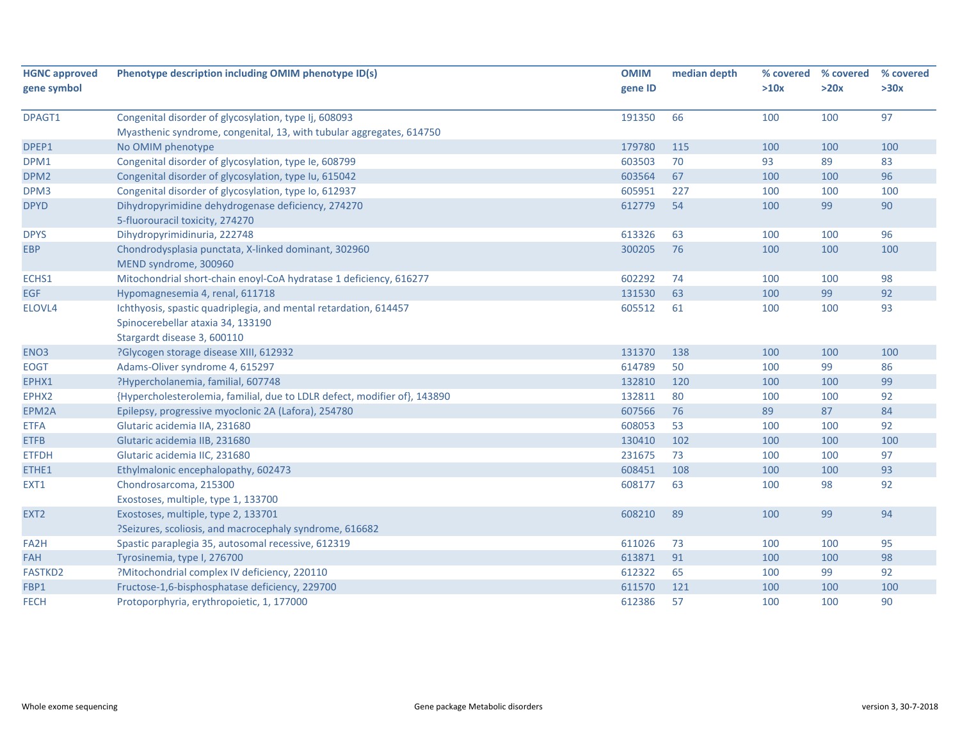| <b>HGNC approved</b> | Phenotype description including OMIM phenotype ID(s)                      | <b>OMIM</b> | median depth | % covered | % covered | % covered |
|----------------------|---------------------------------------------------------------------------|-------------|--------------|-----------|-----------|-----------|
| gene symbol          |                                                                           | gene ID     |              | >10x      | >20x      | >30x      |
| DPAGT1               | Congenital disorder of glycosylation, type Ij, 608093                     | 191350      | 66           | 100       | 100       | 97        |
|                      | Myasthenic syndrome, congenital, 13, with tubular aggregates, 614750      |             |              |           |           |           |
| DPEP1                | No OMIM phenotype                                                         | 179780      | 115          | 100       | 100       | 100       |
| DPM1                 | Congenital disorder of glycosylation, type Ie, 608799                     | 603503      | 70           | 93        | 89        | 83        |
| DPM <sub>2</sub>     | Congenital disorder of glycosylation, type Iu, 615042                     | 603564      | 67           | 100       | 100       | 96        |
| DPM3                 | Congenital disorder of glycosylation, type Io, 612937                     | 605951      | 227          | 100       | 100       | 100       |
| <b>DPYD</b>          | Dihydropyrimidine dehydrogenase deficiency, 274270                        | 612779      | 54           | 100       | 99        | 90        |
|                      | 5-fluorouracil toxicity, 274270                                           |             |              |           |           |           |
| <b>DPYS</b>          | Dihydropyrimidinuria, 222748                                              | 613326      | 63           | 100       | 100       | 96        |
| <b>EBP</b>           | Chondrodysplasia punctata, X-linked dominant, 302960                      | 300205      | 76           | 100       | 100       | 100       |
|                      | MEND syndrome, 300960                                                     |             |              |           |           |           |
| ECHS1                | Mitochondrial short-chain enoyl-CoA hydratase 1 deficiency, 616277        | 602292      | 74           | 100       | 100       | 98        |
| <b>EGF</b>           | Hypomagnesemia 4, renal, 611718                                           | 131530      | 63           | 100       | 99        | 92        |
| ELOVL4               | Ichthyosis, spastic quadriplegia, and mental retardation, 614457          | 605512      | 61           | 100       | 100       | 93        |
|                      | Spinocerebellar ataxia 34, 133190                                         |             |              |           |           |           |
|                      | Stargardt disease 3, 600110                                               |             |              |           |           |           |
| ENO <sub>3</sub>     | ?Glycogen storage disease XIII, 612932                                    | 131370      | 138          | 100       | 100       | 100       |
| <b>EOGT</b>          | Adams-Oliver syndrome 4, 615297                                           | 614789      | 50           | 100       | 99        | 86        |
| EPHX1                | ?Hypercholanemia, familial, 607748                                        | 132810      | 120          | 100       | 100       | 99        |
| EPHX2                | {Hypercholesterolemia, familial, due to LDLR defect, modifier of}, 143890 | 132811      | 80           | 100       | 100       | 92        |
| EPM2A                | Epilepsy, progressive myoclonic 2A (Lafora), 254780                       | 607566      | 76           | 89        | 87        | 84        |
| <b>ETFA</b>          | Glutaric acidemia IIA, 231680                                             | 608053      | 53           | 100       | 100       | 92        |
| <b>ETFB</b>          | Glutaric acidemia IIB, 231680                                             | 130410      | 102          | 100       | 100       | 100       |
| <b>ETFDH</b>         | Glutaric acidemia IIC, 231680                                             | 231675      | 73           | 100       | 100       | 97        |
| ETHE1                | Ethylmalonic encephalopathy, 602473                                       | 608451      | 108          | 100       | 100       | 93        |
| EXT1                 | Chondrosarcoma, 215300                                                    | 608177      | 63           | 100       | 98        | 92        |
|                      | Exostoses, multiple, type 1, 133700                                       |             |              |           |           |           |
| EXT <sub>2</sub>     | Exostoses, multiple, type 2, 133701                                       | 608210      | 89           | 100       | 99        | 94        |
|                      | ?Seizures, scoliosis, and macrocephaly syndrome, 616682                   |             |              |           |           |           |
| FA <sub>2</sub> H    | Spastic paraplegia 35, autosomal recessive, 612319                        | 611026      | 73           | 100       | 100       | 95        |
| <b>FAH</b>           | Tyrosinemia, type I, 276700                                               | 613871      | 91           | 100       | 100       | 98        |
| <b>FASTKD2</b>       | ?Mitochondrial complex IV deficiency, 220110                              | 612322      | 65           | 100       | 99        | 92        |
| FBP1                 | Fructose-1,6-bisphosphatase deficiency, 229700                            | 611570      | 121          | 100       | 100       | 100       |
| <b>FECH</b>          | Protoporphyria, erythropoietic, 1, 177000                                 | 612386      | 57           | 100       | 100       | 90        |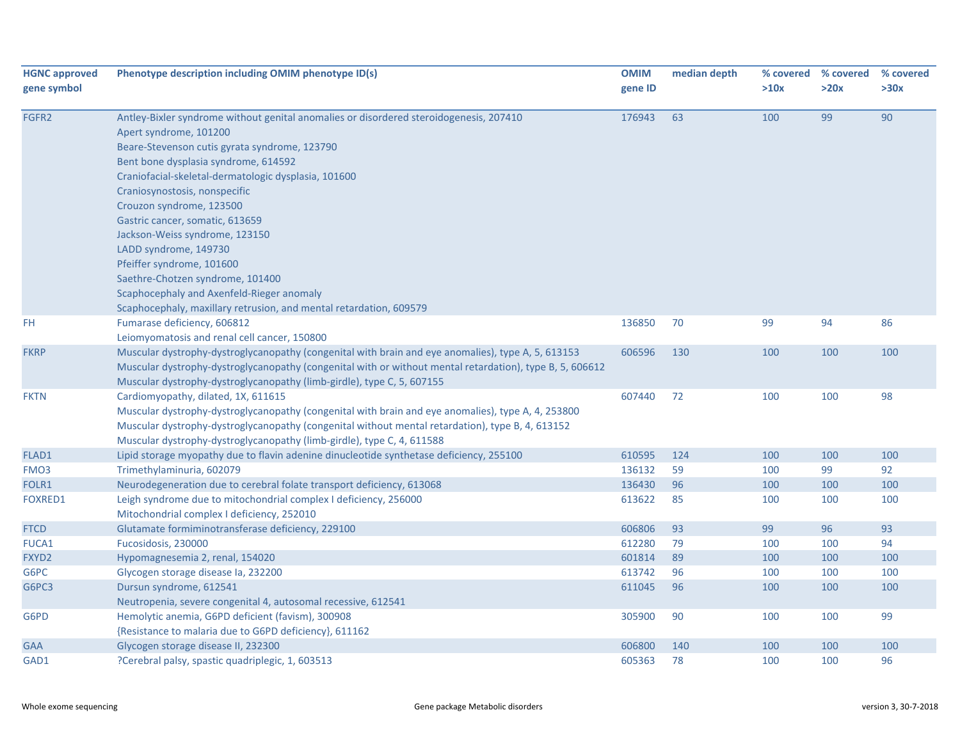| <b>HGNC approved</b> | Phenotype description including OMIM phenotype ID(s)                                                     | <b>OMIM</b> | median depth | % covered | % covered | % covered |
|----------------------|----------------------------------------------------------------------------------------------------------|-------------|--------------|-----------|-----------|-----------|
| gene symbol          |                                                                                                          | gene ID     |              | >10x      | >20x      | >30x      |
|                      |                                                                                                          |             |              |           |           |           |
| FGFR2                | Antley-Bixler syndrome without genital anomalies or disordered steroidogenesis, 207410                   | 176943      | 63           | 100       | 99        | 90        |
|                      | Apert syndrome, 101200                                                                                   |             |              |           |           |           |
|                      | Beare-Stevenson cutis gyrata syndrome, 123790                                                            |             |              |           |           |           |
|                      | Bent bone dysplasia syndrome, 614592                                                                     |             |              |           |           |           |
|                      | Craniofacial-skeletal-dermatologic dysplasia, 101600                                                     |             |              |           |           |           |
|                      | Craniosynostosis, nonspecific                                                                            |             |              |           |           |           |
|                      | Crouzon syndrome, 123500                                                                                 |             |              |           |           |           |
|                      | Gastric cancer, somatic, 613659                                                                          |             |              |           |           |           |
|                      | Jackson-Weiss syndrome, 123150                                                                           |             |              |           |           |           |
|                      | LADD syndrome, 149730                                                                                    |             |              |           |           |           |
|                      | Pfeiffer syndrome, 101600                                                                                |             |              |           |           |           |
|                      | Saethre-Chotzen syndrome, 101400                                                                         |             |              |           |           |           |
|                      | Scaphocephaly and Axenfeld-Rieger anomaly                                                                |             |              |           |           |           |
|                      | Scaphocephaly, maxillary retrusion, and mental retardation, 609579                                       |             |              |           |           |           |
| FH.                  | Fumarase deficiency, 606812                                                                              | 136850      | 70           | 99        | 94        | 86        |
|                      | Leiomyomatosis and renal cell cancer, 150800                                                             |             |              |           |           |           |
| <b>FKRP</b>          | Muscular dystrophy-dystroglycanopathy (congenital with brain and eye anomalies), type A, 5, 613153       | 606596      | 130          | 100       | 100       | 100       |
|                      | Muscular dystrophy-dystroglycanopathy (congenital with or without mental retardation), type B, 5, 606612 |             |              |           |           |           |
|                      | Muscular dystrophy-dystroglycanopathy (limb-girdle), type C, 5, 607155                                   |             |              |           |           |           |
| <b>FKTN</b>          | Cardiomyopathy, dilated, 1X, 611615                                                                      | 607440      | 72           | 100       | 100       | 98        |
|                      | Muscular dystrophy-dystroglycanopathy (congenital with brain and eye anomalies), type A, 4, 253800       |             |              |           |           |           |
|                      | Muscular dystrophy-dystroglycanopathy (congenital without mental retardation), type B, 4, 613152         |             |              |           |           |           |
|                      | Muscular dystrophy-dystroglycanopathy (limb-girdle), type C, 4, 611588                                   |             |              |           |           |           |
| FLAD1                | Lipid storage myopathy due to flavin adenine dinucleotide synthetase deficiency, 255100                  | 610595      | 124          | 100       | 100       | 100       |
| FMO <sub>3</sub>     | Trimethylaminuria, 602079                                                                                | 136132      | 59           | 100       | 99        | 92        |
| FOLR1                | Neurodegeneration due to cerebral folate transport deficiency, 613068                                    | 136430      | 96           | 100       | 100       | 100       |
| <b>FOXRED1</b>       | Leigh syndrome due to mitochondrial complex I deficiency, 256000                                         | 613622      | 85           | 100       | 100       | 100       |
|                      | Mitochondrial complex I deficiency, 252010                                                               |             |              |           |           |           |
| <b>FTCD</b>          | Glutamate formiminotransferase deficiency, 229100                                                        | 606806      | 93           | 99        | 96        | 93        |
| FUCA1                | Fucosidosis, 230000                                                                                      | 612280      | 79           | 100       | 100       | 94        |
| FXYD2                | Hypomagnesemia 2, renal, 154020                                                                          | 601814      | 89           | 100       | 100       | 100       |
| G6PC                 | Glycogen storage disease la, 232200                                                                      | 613742      | 96           | 100       | 100       | 100       |
| G6PC3                | Dursun syndrome, 612541                                                                                  | 611045      | 96           | 100       | 100       | 100       |
|                      | Neutropenia, severe congenital 4, autosomal recessive, 612541                                            |             |              |           |           |           |
| G6PD                 | Hemolytic anemia, G6PD deficient (favism), 300908                                                        | 305900      | 90           | 100       | 100       | 99        |
|                      | {Resistance to malaria due to G6PD deficiency}, 611162                                                   |             |              |           |           |           |
| <b>GAA</b>           | Glycogen storage disease II, 232300                                                                      | 606800      | 140          | 100       | 100       | 100       |
| GAD1                 | ?Cerebral palsy, spastic quadriplegic, 1, 603513                                                         | 605363      | 78           | 100       | 100       | 96        |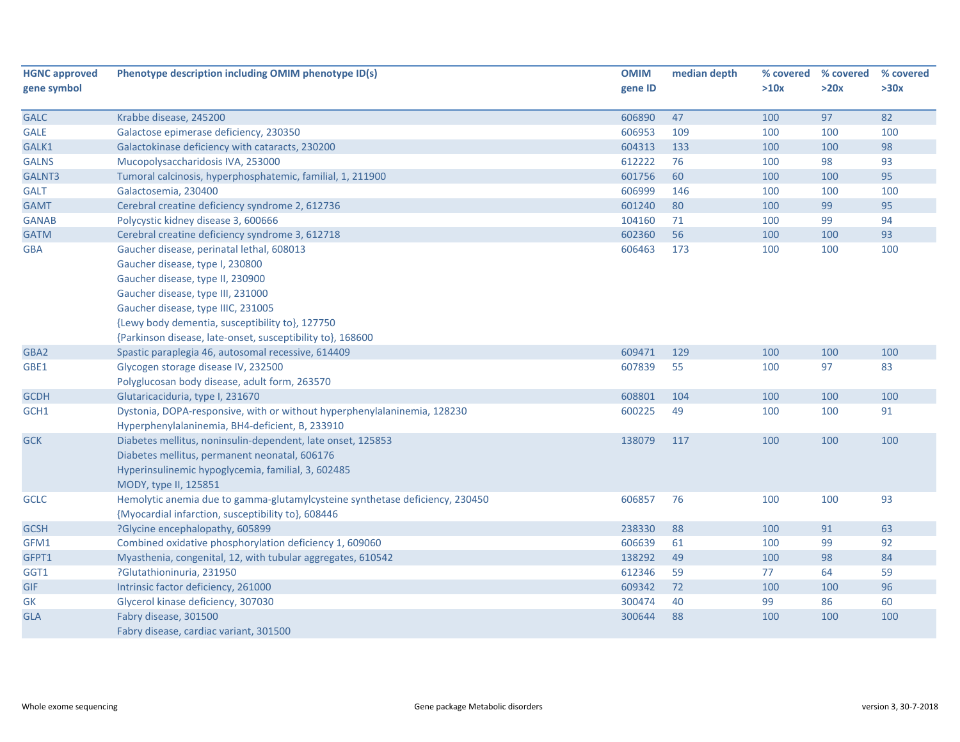| <b>HGNC approved</b> | Phenotype description including OMIM phenotype ID(s)                         | <b>OMIM</b> | median depth | % covered | % covered | % covered |
|----------------------|------------------------------------------------------------------------------|-------------|--------------|-----------|-----------|-----------|
| gene symbol          |                                                                              | gene ID     |              | >10x      | >20x      | >30x      |
| <b>GALC</b>          | Krabbe disease, 245200                                                       | 606890      | 47           | 100       | 97        | 82        |
| <b>GALE</b>          | Galactose epimerase deficiency, 230350                                       | 606953      | 109          | 100       | 100       | 100       |
| GALK1                | Galactokinase deficiency with cataracts, 230200                              | 604313      | 133          | 100       | 100       | 98        |
| <b>GALNS</b>         | Mucopolysaccharidosis IVA, 253000                                            | 612222      | 76           | 100       | 98        | 93        |
| GALNT3               | Tumoral calcinosis, hyperphosphatemic, familial, 1, 211900                   | 601756      | 60           | 100       | 100       | 95        |
| <b>GALT</b>          | Galactosemia, 230400                                                         | 606999      | 146          | 100       | 100       | 100       |
| <b>GAMT</b>          | Cerebral creatine deficiency syndrome 2, 612736                              | 601240      | 80           | 100       | 99        | 95        |
| <b>GANAB</b>         | Polycystic kidney disease 3, 600666                                          | 104160      | 71           | 100       | 99        | 94        |
| <b>GATM</b>          | Cerebral creatine deficiency syndrome 3, 612718                              | 602360      | 56           | 100       | 100       | 93        |
| <b>GBA</b>           | Gaucher disease, perinatal lethal, 608013                                    | 606463      | 173          | 100       | 100       | 100       |
|                      | Gaucher disease, type I, 230800                                              |             |              |           |           |           |
|                      | Gaucher disease, type II, 230900                                             |             |              |           |           |           |
|                      | Gaucher disease, type III, 231000                                            |             |              |           |           |           |
|                      | Gaucher disease, type IIIC, 231005                                           |             |              |           |           |           |
|                      | {Lewy body dementia, susceptibility to}, 127750                              |             |              |           |           |           |
|                      | {Parkinson disease, late-onset, susceptibility to}, 168600                   |             |              |           |           |           |
| GBA2                 | Spastic paraplegia 46, autosomal recessive, 614409                           | 609471      | 129          | 100       | 100       | 100       |
| GBE1                 | Glycogen storage disease IV, 232500                                          | 607839      | 55           | 100       | 97        | 83        |
|                      | Polyglucosan body disease, adult form, 263570                                |             |              |           |           |           |
| <b>GCDH</b>          | Glutaricaciduria, type I, 231670                                             | 608801      | 104          | 100       | 100       | 100       |
| GCH1                 | Dystonia, DOPA-responsive, with or without hyperphenylalaninemia, 128230     | 600225      | 49           | 100       | 100       | 91        |
|                      | Hyperphenylalaninemia, BH4-deficient, B, 233910                              |             |              |           |           |           |
| <b>GCK</b>           | Diabetes mellitus, noninsulin-dependent, late onset, 125853                  | 138079      | 117          | 100       | 100       | 100       |
|                      | Diabetes mellitus, permanent neonatal, 606176                                |             |              |           |           |           |
|                      | Hyperinsulinemic hypoglycemia, familial, 3, 602485                           |             |              |           |           |           |
|                      | MODY, type II, 125851                                                        |             |              |           |           |           |
| <b>GCLC</b>          | Hemolytic anemia due to gamma-glutamylcysteine synthetase deficiency, 230450 | 606857      | 76           | 100       | 100       | 93        |
|                      | {Myocardial infarction, susceptibility to}, 608446                           |             |              |           |           |           |
| <b>GCSH</b>          | ?Glycine encephalopathy, 605899                                              | 238330      | 88           | 100       | 91        | 63        |
| GFM1                 | Combined oxidative phosphorylation deficiency 1, 609060                      | 606639      | 61           | 100       | 99        | 92        |
| GFPT1                | Myasthenia, congenital, 12, with tubular aggregates, 610542                  | 138292      | 49           | 100       | 98        | 84        |
| GGT1                 | ?Glutathioninuria, 231950                                                    | 612346      | 59           | 77        | 64        | 59        |
| GIF                  | Intrinsic factor deficiency, 261000                                          | 609342      | 72           | 100       | 100       | 96        |
| GK                   | Glycerol kinase deficiency, 307030                                           | 300474      | 40           | 99        | 86        | 60        |
| <b>GLA</b>           | Fabry disease, 301500                                                        | 300644      | 88           | 100       | 100       | 100       |
|                      | Fabry disease, cardiac variant, 301500                                       |             |              |           |           |           |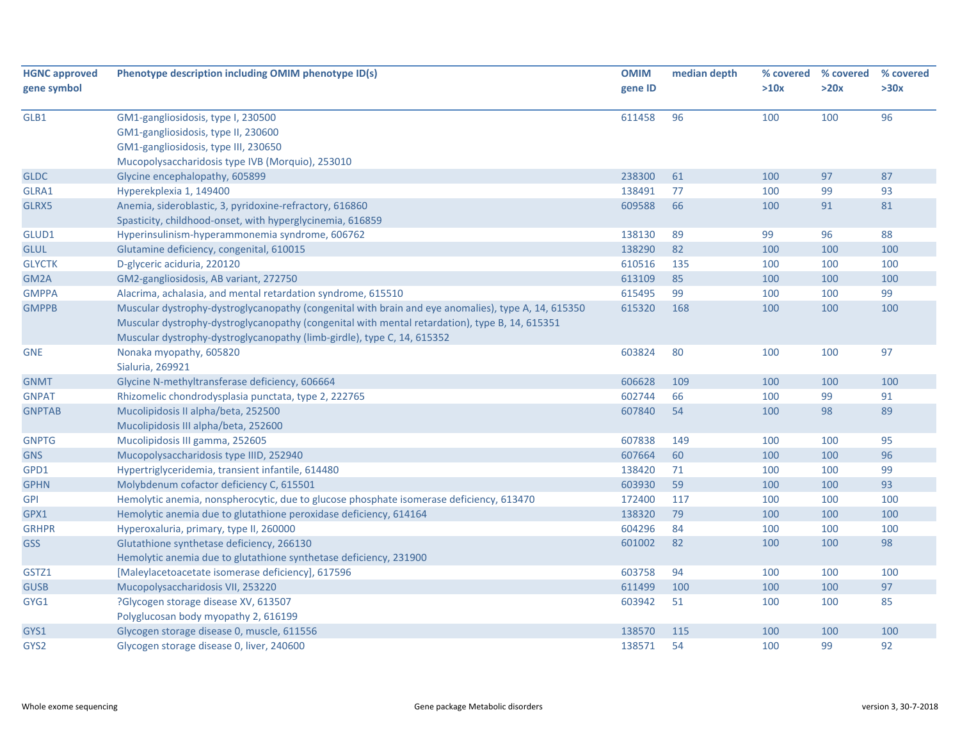| <b>HGNC approved</b> | Phenotype description including OMIM phenotype ID(s)                                                | <b>OMIM</b> | median depth | % covered | % covered | % covered |
|----------------------|-----------------------------------------------------------------------------------------------------|-------------|--------------|-----------|-----------|-----------|
| gene symbol          |                                                                                                     | gene ID     |              | >10x      | >20x      | >30x      |
| GLB1                 | GM1-gangliosidosis, type I, 230500                                                                  | 611458      | 96           | 100       | 100       | 96        |
|                      | GM1-gangliosidosis, type II, 230600                                                                 |             |              |           |           |           |
|                      | GM1-gangliosidosis, type III, 230650                                                                |             |              |           |           |           |
|                      | Mucopolysaccharidosis type IVB (Morquio), 253010                                                    |             |              |           |           |           |
| <b>GLDC</b>          | Glycine encephalopathy, 605899                                                                      | 238300      | 61           | 100       | 97        | 87        |
| GLRA1                | Hyperekplexia 1, 149400                                                                             | 138491      | 77           | 100       | 99        | 93        |
| GLRX5                | Anemia, sideroblastic, 3, pyridoxine-refractory, 616860                                             | 609588      | 66           | 100       | 91        | 81        |
|                      | Spasticity, childhood-onset, with hyperglycinemia, 616859                                           |             |              |           |           |           |
| GLUD1                | Hyperinsulinism-hyperammonemia syndrome, 606762                                                     | 138130      | 89           | 99        | 96        | 88        |
| <b>GLUL</b>          | Glutamine deficiency, congenital, 610015                                                            | 138290      | 82           | 100       | 100       | 100       |
| <b>GLYCTK</b>        | D-glyceric aciduria, 220120                                                                         | 610516      | 135          | 100       | 100       | 100       |
| GM2A                 | GM2-gangliosidosis, AB variant, 272750                                                              | 613109      | 85           | 100       | 100       | 100       |
| <b>GMPPA</b>         | Alacrima, achalasia, and mental retardation syndrome, 615510                                        | 615495      | 99           | 100       | 100       | 99        |
| <b>GMPPB</b>         | Muscular dystrophy-dystroglycanopathy (congenital with brain and eye anomalies), type A, 14, 615350 | 615320      | 168          | 100       | 100       | 100       |
|                      | Muscular dystrophy-dystroglycanopathy (congenital with mental retardation), type B, 14, 615351      |             |              |           |           |           |
|                      | Muscular dystrophy-dystroglycanopathy (limb-girdle), type C, 14, 615352                             |             |              |           |           |           |
| <b>GNE</b>           | Nonaka myopathy, 605820                                                                             | 603824      | 80           | 100       | 100       | 97        |
|                      | Sialuria, 269921                                                                                    |             |              |           |           |           |
| <b>GNMT</b>          | Glycine N-methyltransferase deficiency, 606664                                                      | 606628      | 109          | 100       | 100       | 100       |
| <b>GNPAT</b>         | Rhizomelic chondrodysplasia punctata, type 2, 222765                                                | 602744      | 66           | 100       | 99        | 91        |
| <b>GNPTAB</b>        | Mucolipidosis II alpha/beta, 252500                                                                 | 607840      | 54           | 100       | 98        | 89        |
|                      | Mucolipidosis III alpha/beta, 252600                                                                |             |              |           |           |           |
| <b>GNPTG</b>         | Mucolipidosis III gamma, 252605                                                                     | 607838      | 149          | 100       | 100       | 95        |
| <b>GNS</b>           | Mucopolysaccharidosis type IIID, 252940                                                             | 607664      | 60           | 100       | 100       | 96        |
| GPD1                 | Hypertriglyceridemia, transient infantile, 614480                                                   | 138420      | 71           | 100       | 100       | 99        |
| <b>GPHN</b>          | Molybdenum cofactor deficiency C, 615501                                                            | 603930      | 59           | 100       | 100       | 93        |
| <b>GPI</b>           | Hemolytic anemia, nonspherocytic, due to glucose phosphate isomerase deficiency, 613470             | 172400      | 117          | 100       | 100       | 100       |
| GPX1                 | Hemolytic anemia due to glutathione peroxidase deficiency, 614164                                   | 138320      | 79           | 100       | 100       | 100       |
| <b>GRHPR</b>         | Hyperoxaluria, primary, type II, 260000                                                             | 604296      | 84           | 100       | 100       | 100       |
| <b>GSS</b>           | Glutathione synthetase deficiency, 266130                                                           | 601002      | 82           | 100       | 100       | 98        |
|                      | Hemolytic anemia due to glutathione synthetase deficiency, 231900                                   |             |              |           |           |           |
| GSTZ1                | [Maleylacetoacetate isomerase deficiency], 617596                                                   | 603758      | 94           | 100       | 100       | 100       |
| <b>GUSB</b>          | Mucopolysaccharidosis VII, 253220                                                                   | 611499      | 100          | 100       | 100       | 97        |
| GYG1                 | ?Glycogen storage disease XV, 613507                                                                | 603942      | 51           | 100       | 100       | 85        |
|                      | Polyglucosan body myopathy 2, 616199                                                                |             |              |           |           |           |
| GYS1                 | Glycogen storage disease 0, muscle, 611556                                                          | 138570      | 115          | 100       | 100       | 100       |
| GYS2                 | Glycogen storage disease 0, liver, 240600                                                           | 138571      | 54           | 100       | 99        | 92        |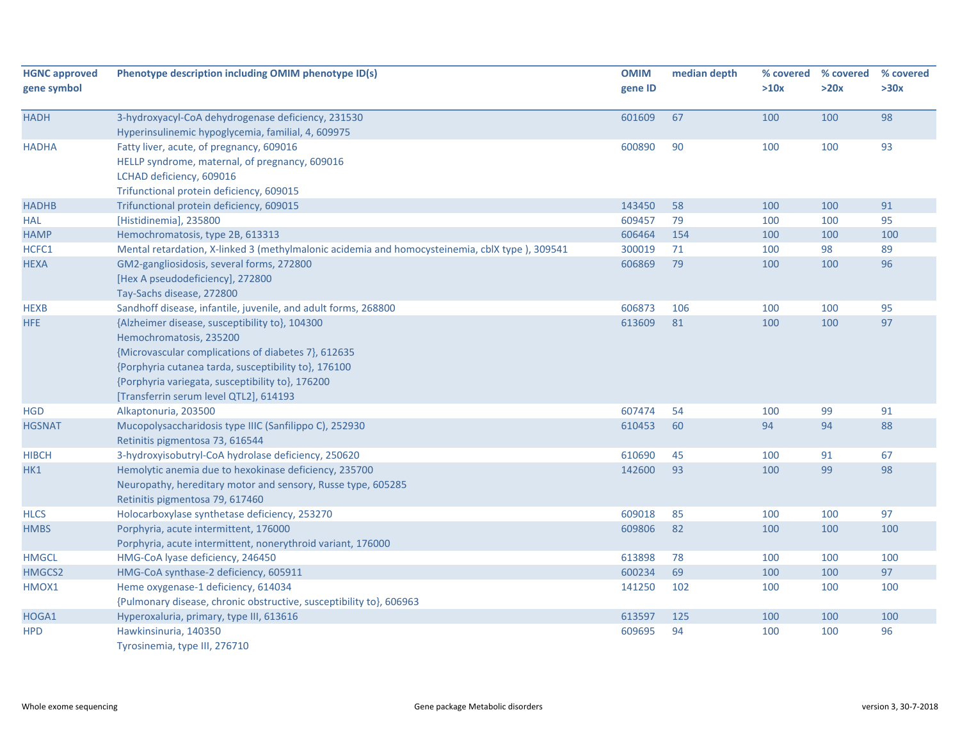| <b>HGNC approved</b><br>gene symbol | Phenotype description including OMIM phenotype ID(s)                                                                                                                                                                                                                                   | <b>OMIM</b><br>gene ID | median depth | >10x | % covered % covered<br>>20x | % covered<br>>30x |
|-------------------------------------|----------------------------------------------------------------------------------------------------------------------------------------------------------------------------------------------------------------------------------------------------------------------------------------|------------------------|--------------|------|-----------------------------|-------------------|
| <b>HADH</b>                         | 3-hydroxyacyl-CoA dehydrogenase deficiency, 231530<br>Hyperinsulinemic hypoglycemia, familial, 4, 609975                                                                                                                                                                               | 601609                 | 67           | 100  | 100                         | 98                |
| <b>HADHA</b>                        | Fatty liver, acute, of pregnancy, 609016<br>HELLP syndrome, maternal, of pregnancy, 609016<br>LCHAD deficiency, 609016<br>Trifunctional protein deficiency, 609015                                                                                                                     | 600890                 | 90           | 100  | 100                         | 93                |
| <b>HADHB</b>                        | Trifunctional protein deficiency, 609015                                                                                                                                                                                                                                               | 143450                 | 58           | 100  | 100                         | 91                |
| <b>HAL</b>                          | [Histidinemia], 235800                                                                                                                                                                                                                                                                 | 609457                 | 79           | 100  | 100                         | 95                |
| <b>HAMP</b>                         | Hemochromatosis, type 2B, 613313                                                                                                                                                                                                                                                       | 606464                 | 154          | 100  | 100                         | 100               |
| HCFC1                               | Mental retardation, X-linked 3 (methylmalonic acidemia and homocysteinemia, cblX type), 309541                                                                                                                                                                                         | 300019                 | 71           | 100  | 98                          | 89                |
| <b>HEXA</b>                         | GM2-gangliosidosis, several forms, 272800<br>[Hex A pseudodeficiency], 272800<br>Tay-Sachs disease, 272800                                                                                                                                                                             | 606869                 | 79           | 100  | 100                         | 96                |
| <b>HEXB</b>                         | Sandhoff disease, infantile, juvenile, and adult forms, 268800                                                                                                                                                                                                                         | 606873                 | 106          | 100  | 100                         | 95                |
| <b>HFE</b>                          | {Alzheimer disease, susceptibility to}, 104300<br>Hemochromatosis, 235200<br>{Microvascular complications of diabetes 7}, 612635<br>{Porphyria cutanea tarda, susceptibility to}, 176100<br>{Porphyria variegata, susceptibility to}, 176200<br>[Transferrin serum level QTL2], 614193 | 613609                 | 81           | 100  | 100                         | 97                |
| <b>HGD</b>                          | Alkaptonuria, 203500                                                                                                                                                                                                                                                                   | 607474                 | 54           | 100  | 99                          | 91                |
| <b>HGSNAT</b>                       | Mucopolysaccharidosis type IIIC (Sanfilippo C), 252930<br>Retinitis pigmentosa 73, 616544                                                                                                                                                                                              | 610453                 | 60           | 94   | 94                          | 88                |
| <b>HIBCH</b>                        | 3-hydroxyisobutryl-CoA hydrolase deficiency, 250620                                                                                                                                                                                                                                    | 610690                 | 45           | 100  | 91                          | 67                |
| HK1                                 | Hemolytic anemia due to hexokinase deficiency, 235700<br>Neuropathy, hereditary motor and sensory, Russe type, 605285<br>Retinitis pigmentosa 79, 617460                                                                                                                               | 142600                 | 93           | 100  | 99                          | 98                |
| <b>HLCS</b>                         | Holocarboxylase synthetase deficiency, 253270                                                                                                                                                                                                                                          | 609018                 | 85           | 100  | 100                         | 97                |
| <b>HMBS</b>                         | Porphyria, acute intermittent, 176000<br>Porphyria, acute intermittent, nonerythroid variant, 176000                                                                                                                                                                                   | 609806                 | 82           | 100  | 100                         | 100               |
| <b>HMGCL</b>                        | HMG-CoA lyase deficiency, 246450                                                                                                                                                                                                                                                       | 613898                 | 78           | 100  | 100                         | 100               |
| HMGCS2                              | HMG-CoA synthase-2 deficiency, 605911                                                                                                                                                                                                                                                  | 600234                 | 69           | 100  | 100                         | 97                |
| HMOX1                               | Heme oxygenase-1 deficiency, 614034<br>{Pulmonary disease, chronic obstructive, susceptibility to}, 606963                                                                                                                                                                             | 141250                 | 102          | 100  | 100                         | 100               |
| HOGA1                               | Hyperoxaluria, primary, type III, 613616                                                                                                                                                                                                                                               | 613597                 | 125          | 100  | 100                         | 100               |
| <b>HPD</b>                          | Hawkinsinuria, 140350<br>Tyrosinemia, type III, 276710                                                                                                                                                                                                                                 | 609695                 | 94           | 100  | 100                         | 96                |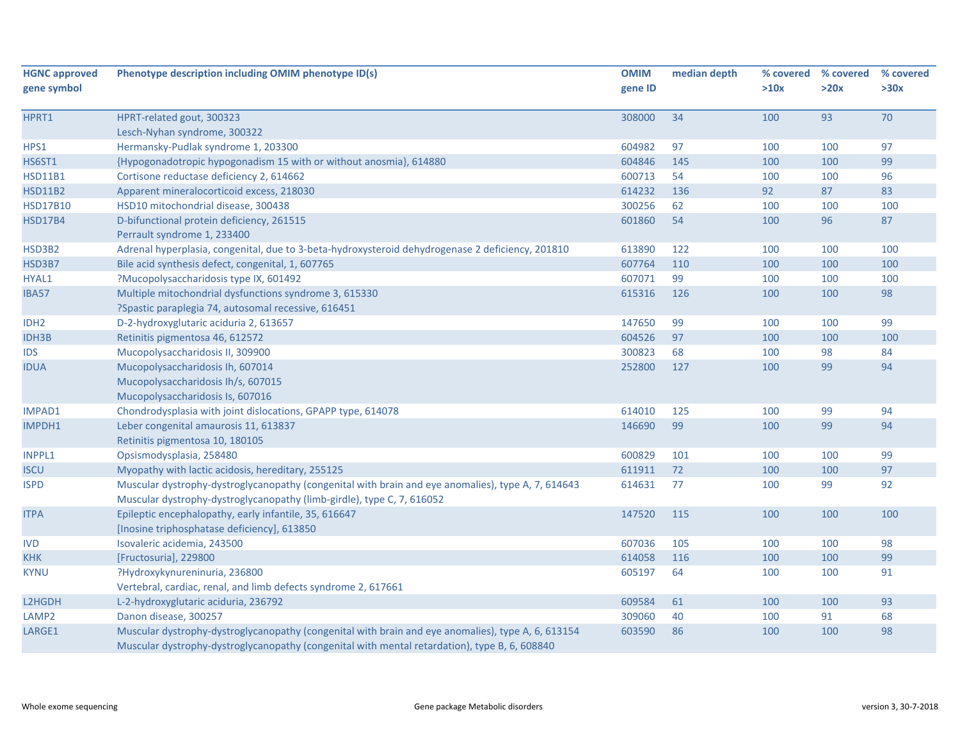| <b>HGNC approved</b> | Phenotype description including OMIM phenotype ID(s)                                                                                                                                                | <b>OMIM</b> | median depth | % covered | % covered | % covered |
|----------------------|-----------------------------------------------------------------------------------------------------------------------------------------------------------------------------------------------------|-------------|--------------|-----------|-----------|-----------|
| gene symbol          |                                                                                                                                                                                                     | gene ID     |              | >10x      | >20x      | >30x      |
| HPRT1                | HPRT-related gout, 300323                                                                                                                                                                           | 308000      | 34           | 100       | 93        | 70        |
|                      | Lesch-Nyhan syndrome, 300322                                                                                                                                                                        |             |              |           |           |           |
| HPS1                 | Hermansky-Pudlak syndrome 1, 203300                                                                                                                                                                 | 604982      | 97           | 100       | 100       | 97        |
| <b>HS6ST1</b>        | {Hypogonadotropic hypogonadism 15 with or without anosmia}, 614880                                                                                                                                  | 604846      | 145          | 100       | 100       | 99        |
| <b>HSD11B1</b>       | Cortisone reductase deficiency 2, 614662                                                                                                                                                            | 600713      | 54           | 100       | 100       | 96        |
| <b>HSD11B2</b>       | Apparent mineralocorticoid excess, 218030                                                                                                                                                           | 614232      | 136          | 92        | 87        | 83        |
| <b>HSD17B10</b>      | HSD10 mitochondrial disease, 300438                                                                                                                                                                 | 300256      | 62           | 100       | 100       | 100       |
| <b>HSD17B4</b>       | D-bifunctional protein deficiency, 261515<br>Perrault syndrome 1, 233400                                                                                                                            | 601860      | 54           | 100       | 96        | 87        |
| HSD3B2               | Adrenal hyperplasia, congenital, due to 3-beta-hydroxysteroid dehydrogenase 2 deficiency, 201810                                                                                                    | 613890      | 122          | 100       | 100       | 100       |
| HSD3B7               | Bile acid synthesis defect, congenital, 1, 607765                                                                                                                                                   | 607764      | 110          | 100       | 100       | 100       |
| HYAL1                | ?Mucopolysaccharidosis type IX, 601492                                                                                                                                                              | 607071      | 99           | 100       | 100       | 100       |
| IBA57                | Multiple mitochondrial dysfunctions syndrome 3, 615330<br>?Spastic paraplegia 74, autosomal recessive, 616451                                                                                       | 615316      | 126          | 100       | 100       | 98        |
| IDH <sub>2</sub>     | D-2-hydroxyglutaric aciduria 2, 613657                                                                                                                                                              | 147650      | 99           | 100       | 100       | 99        |
| <b>IDH3B</b>         | Retinitis pigmentosa 46, 612572                                                                                                                                                                     | 604526      | 97           | 100       | 100       | 100       |
| <b>IDS</b>           | Mucopolysaccharidosis II, 309900                                                                                                                                                                    | 300823      | 68           | 100       | 98        | 84        |
| <b>IDUA</b>          | Mucopolysaccharidosis Ih, 607014                                                                                                                                                                    | 252800      | 127          | 100       | 99        | 94        |
|                      | Mucopolysaccharidosis Ih/s, 607015                                                                                                                                                                  |             |              |           |           |           |
|                      | Mucopolysaccharidosis Is, 607016                                                                                                                                                                    |             |              |           |           |           |
| IMPAD1               | Chondrodysplasia with joint dislocations, GPAPP type, 614078                                                                                                                                        | 614010      | 125          | 100       | 99        | 94        |
| IMPDH1               | Leber congenital amaurosis 11, 613837                                                                                                                                                               | 146690      | 99           | 100       | 99        | 94        |
|                      | Retinitis pigmentosa 10, 180105                                                                                                                                                                     |             |              |           |           |           |
| <b>INPPL1</b>        | Opsismodysplasia, 258480                                                                                                                                                                            | 600829      | 101          | 100       | 100       | 99        |
| <b>ISCU</b>          | Myopathy with lactic acidosis, hereditary, 255125                                                                                                                                                   | 611911      | 72           | 100       | 100       | 97        |
| <b>ISPD</b>          | Muscular dystrophy-dystroglycanopathy (congenital with brain and eye anomalies), type A, 7, 614643<br>Muscular dystrophy-dystroglycanopathy (limb-girdle), type C, 7, 616052                        | 614631      | 77           | 100       | 99        | 92        |
| <b>ITPA</b>          | Epileptic encephalopathy, early infantile, 35, 616647<br>[Inosine triphosphatase deficiency], 613850                                                                                                | 147520      | 115          | 100       | 100       | 100       |
| <b>IVD</b>           | Isovaleric acidemia, 243500                                                                                                                                                                         | 607036      | 105          | 100       | 100       | 98        |
| <b>KHK</b>           | [Fructosuria], 229800                                                                                                                                                                               | 614058      | 116          | 100       | 100       | 99        |
| <b>KYNU</b>          | ?Hydroxykynureninuria, 236800                                                                                                                                                                       | 605197      | 64           | 100       | 100       | 91        |
|                      | Vertebral, cardiac, renal, and limb defects syndrome 2, 617661                                                                                                                                      |             |              |           |           |           |
| L2HGDH               | L-2-hydroxyglutaric aciduria, 236792                                                                                                                                                                | 609584      | 61           | 100       | 100       | 93        |
| LAMP <sub>2</sub>    | Danon disease, 300257                                                                                                                                                                               | 309060      | 40           | 100       | 91        | 68        |
| LARGE1               | Muscular dystrophy-dystroglycanopathy (congenital with brain and eye anomalies), type A, 6, 613154<br>Muscular dystrophy-dystroglycanopathy (congenital with mental retardation), type B, 6, 608840 | 603590      | 86           | 100       | 100       | 98        |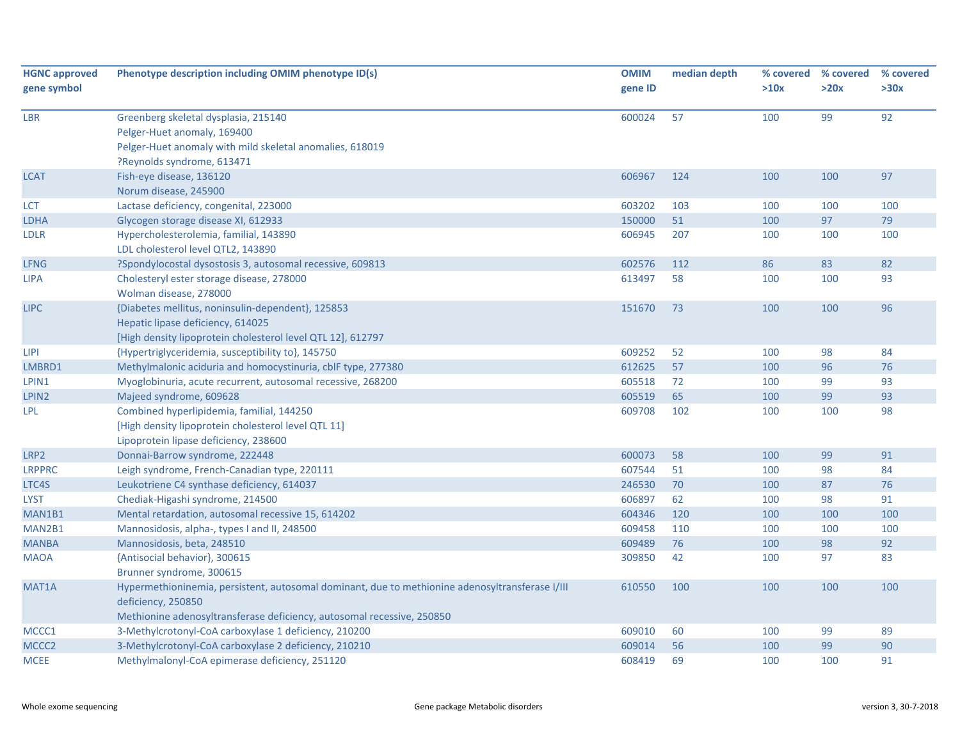| <b>HGNC approved</b> | Phenotype description including OMIM phenotype ID(s)                                            | <b>OMIM</b> | median depth | % covered | % covered | % covered |
|----------------------|-------------------------------------------------------------------------------------------------|-------------|--------------|-----------|-----------|-----------|
| gene symbol          |                                                                                                 | gene ID     |              | >10x      | >20x      | >30x      |
| <b>LBR</b>           | Greenberg skeletal dysplasia, 215140                                                            | 600024      | 57           | 100       | 99        | 92        |
|                      | Pelger-Huet anomaly, 169400                                                                     |             |              |           |           |           |
|                      | Pelger-Huet anomaly with mild skeletal anomalies, 618019                                        |             |              |           |           |           |
|                      | ?Reynolds syndrome, 613471                                                                      |             |              |           |           |           |
| <b>LCAT</b>          | Fish-eye disease, 136120                                                                        | 606967      | 124          | 100       | 100       | 97        |
|                      | Norum disease, 245900                                                                           |             |              |           |           |           |
| <b>LCT</b>           | Lactase deficiency, congenital, 223000                                                          | 603202      | 103          | 100       | 100       | 100       |
| <b>LDHA</b>          | Glycogen storage disease XI, 612933                                                             | 150000      | 51           | 100       | 97        | 79        |
| <b>LDLR</b>          | Hypercholesterolemia, familial, 143890                                                          | 606945      | 207          | 100       | 100       | 100       |
|                      | LDL cholesterol level QTL2, 143890                                                              |             |              |           |           |           |
| <b>LFNG</b>          | ?Spondylocostal dysostosis 3, autosomal recessive, 609813                                       | 602576      | 112          | 86        | 83        | 82        |
| <b>LIPA</b>          | Cholesteryl ester storage disease, 278000                                                       | 613497      | 58           | 100       | 100       | 93        |
|                      | Wolman disease, 278000                                                                          |             |              |           |           |           |
| <b>LIPC</b>          | {Diabetes mellitus, noninsulin-dependent}, 125853                                               | 151670      | 73           | 100       | 100       | 96        |
|                      | Hepatic lipase deficiency, 614025                                                               |             |              |           |           |           |
|                      | [High density lipoprotein cholesterol level QTL 12], 612797                                     |             |              |           |           |           |
| <b>LIPI</b>          | {Hypertriglyceridemia, susceptibility to}, 145750                                               | 609252      | 52           | 100       | 98        | 84        |
| LMBRD1               | Methylmalonic aciduria and homocystinuria, cblF type, 277380                                    | 612625      | 57           | 100       | 96        | 76        |
| LPIN1                | Myoglobinuria, acute recurrent, autosomal recessive, 268200                                     | 605518      | 72           | 100       | 99        | 93        |
| LPIN2                | Majeed syndrome, 609628                                                                         | 605519      | 65           | 100       | 99        | 93        |
| LPL.                 | Combined hyperlipidemia, familial, 144250                                                       | 609708      | 102          | 100       | 100       | 98        |
|                      | [High density lipoprotein cholesterol level QTL 11]                                             |             |              |           |           |           |
|                      | Lipoprotein lipase deficiency, 238600                                                           |             |              |           |           |           |
| LRP2                 | Donnai-Barrow syndrome, 222448                                                                  | 600073      | 58           | 100       | 99        | 91        |
| <b>LRPPRC</b>        | Leigh syndrome, French-Canadian type, 220111                                                    | 607544      | 51           | 100       | 98        | 84        |
| LTC4S                | Leukotriene C4 synthase deficiency, 614037                                                      | 246530      | 70           | 100       | 87        | 76        |
| <b>LYST</b>          | Chediak-Higashi syndrome, 214500                                                                | 606897      | 62           | 100       | 98        | 91        |
| MAN1B1               | Mental retardation, autosomal recessive 15, 614202                                              | 604346      | 120          | 100       | 100       | 100       |
| MAN2B1               | Mannosidosis, alpha-, types I and II, 248500                                                    | 609458      | 110          | 100       | 100       | 100       |
| <b>MANBA</b>         | Mannosidosis, beta, 248510                                                                      | 609489      | 76           | 100       | 98        | 92        |
| <b>MAOA</b>          | {Antisocial behavior}, 300615                                                                   | 309850      | 42           | 100       | 97        | 83        |
|                      | Brunner syndrome, 300615                                                                        |             |              |           |           |           |
| MAT1A                | Hypermethioninemia, persistent, autosomal dominant, due to methionine adenosyltransferase I/III | 610550      | 100          | 100       | 100       | 100       |
|                      | deficiency, 250850                                                                              |             |              |           |           |           |
|                      | Methionine adenosyltransferase deficiency, autosomal recessive, 250850                          |             |              |           |           |           |
| MCCC1                | 3-Methylcrotonyl-CoA carboxylase 1 deficiency, 210200                                           | 609010      | 60           | 100       | 99        | 89        |
| MCCC2                | 3-Methylcrotonyl-CoA carboxylase 2 deficiency, 210210                                           | 609014      | 56           | 100       | 99        | 90        |
| <b>MCEE</b>          | Methylmalonyl-CoA epimerase deficiency, 251120                                                  | 608419      | 69           | 100       | 100       | 91        |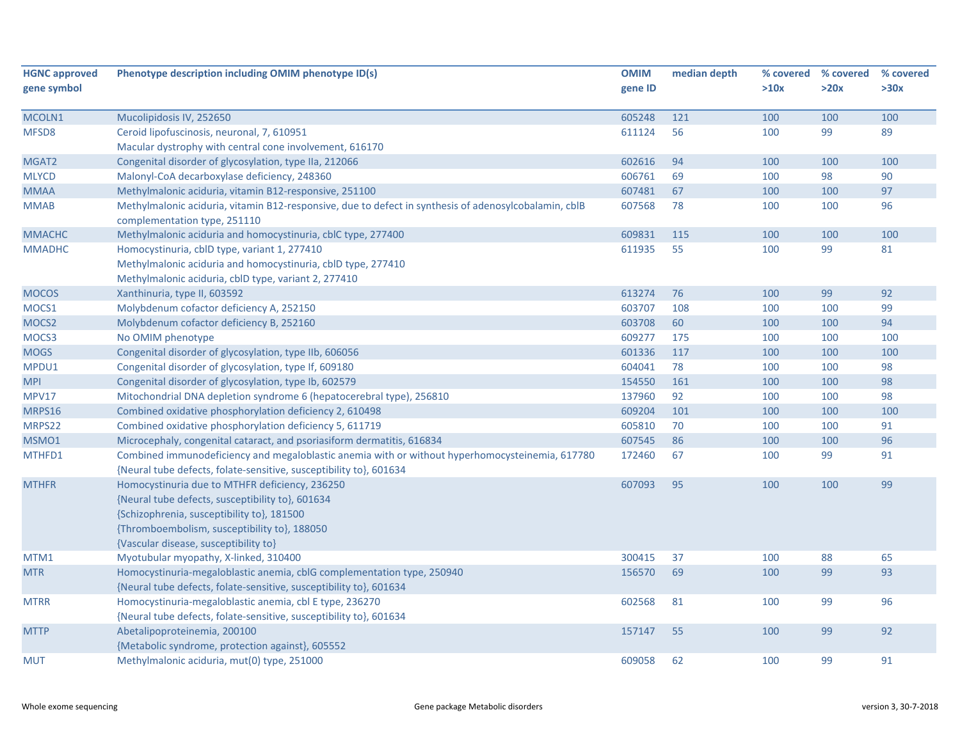| <b>HGNC approved</b> | Phenotype description including OMIM phenotype ID(s)                                                                                  | <b>OMIM</b> | median depth |      | % covered % covered | % covered |
|----------------------|---------------------------------------------------------------------------------------------------------------------------------------|-------------|--------------|------|---------------------|-----------|
| gene symbol          |                                                                                                                                       | gene ID     |              | >10x | >20x                | >30x      |
|                      |                                                                                                                                       |             |              |      |                     |           |
| MCOLN1               | Mucolipidosis IV, 252650                                                                                                              | 605248      | 121          | 100  | 100                 | 100       |
| MFSD8                | Ceroid lipofuscinosis, neuronal, 7, 610951                                                                                            | 611124      | 56           | 100  | 99                  | 89        |
|                      | Macular dystrophy with central cone involvement, 616170                                                                               |             |              |      |                     |           |
| MGAT2                | Congenital disorder of glycosylation, type IIa, 212066                                                                                | 602616      | 94           | 100  | 100                 | 100       |
| <b>MLYCD</b>         | Malonyl-CoA decarboxylase deficiency, 248360                                                                                          | 606761      | 69           | 100  | 98                  | 90        |
| <b>MMAA</b>          | Methylmalonic aciduria, vitamin B12-responsive, 251100                                                                                | 607481      | 67           | 100  | 100                 | 97        |
| <b>MMAB</b>          | Methylmalonic aciduria, vitamin B12-responsive, due to defect in synthesis of adenosylcobalamin, cblB<br>complementation type, 251110 | 607568      | 78           | 100  | 100                 | 96        |
| <b>MMACHC</b>        | Methylmalonic aciduria and homocystinuria, cblC type, 277400                                                                          | 609831      | 115          | 100  | 100                 | 100       |
| <b>MMADHC</b>        | Homocystinuria, cblD type, variant 1, 277410                                                                                          | 611935      | 55           | 100  | 99                  | 81        |
|                      | Methylmalonic aciduria and homocystinuria, cblD type, 277410                                                                          |             |              |      |                     |           |
|                      | Methylmalonic aciduria, cblD type, variant 2, 277410                                                                                  |             |              |      |                     |           |
| <b>MOCOS</b>         | Xanthinuria, type II, 603592                                                                                                          | 613274      | 76           | 100  | 99                  | 92        |
| MOCS1                | Molybdenum cofactor deficiency A, 252150                                                                                              | 603707      | 108          | 100  | 100                 | 99        |
| MOCS <sub>2</sub>    | Molybdenum cofactor deficiency B, 252160                                                                                              | 603708      | 60           | 100  | 100                 | 94        |
| MOCS3                | No OMIM phenotype                                                                                                                     | 609277      | 175          | 100  | 100                 | 100       |
| <b>MOGS</b>          | Congenital disorder of glycosylation, type IIb, 606056                                                                                | 601336      | 117          | 100  | 100                 | 100       |
| MPDU1                | Congenital disorder of glycosylation, type If, 609180                                                                                 | 604041      | 78           | 100  | 100                 | 98        |
| <b>MPI</b>           | Congenital disorder of glycosylation, type Ib, 602579                                                                                 | 154550      | 161          | 100  | 100                 | 98        |
| MPV17                | Mitochondrial DNA depletion syndrome 6 (hepatocerebral type), 256810                                                                  | 137960      | 92           | 100  | 100                 | 98        |
| MRPS16               | Combined oxidative phosphorylation deficiency 2, 610498                                                                               | 609204      | 101          | 100  | 100                 | 100       |
| MRPS22               | Combined oxidative phosphorylation deficiency 5, 611719                                                                               | 605810      | 70           | 100  | 100                 | 91        |
| MSMO1                | Microcephaly, congenital cataract, and psoriasiform dermatitis, 616834                                                                | 607545      | 86           | 100  | 100                 | 96        |
| MTHFD1               | Combined immunodeficiency and megaloblastic anemia with or without hyperhomocysteinemia, 617780                                       | 172460      | 67           | 100  | 99                  | 91        |
|                      | {Neural tube defects, folate-sensitive, susceptibility to}, 601634                                                                    |             |              |      |                     |           |
| <b>MTHFR</b>         | Homocystinuria due to MTHFR deficiency, 236250                                                                                        | 607093      | 95           | 100  | 100                 | 99        |
|                      | {Neural tube defects, susceptibility to}, 601634                                                                                      |             |              |      |                     |           |
|                      | {Schizophrenia, susceptibility to}, 181500                                                                                            |             |              |      |                     |           |
|                      | {Thromboembolism, susceptibility to}, 188050                                                                                          |             |              |      |                     |           |
|                      | {Vascular disease, susceptibility to}                                                                                                 |             |              |      |                     |           |
| MTM1                 | Myotubular myopathy, X-linked, 310400                                                                                                 | 300415      | 37           | 100  | 88                  | 65        |
| <b>MTR</b>           | Homocystinuria-megaloblastic anemia, cblG complementation type, 250940                                                                | 156570      | 69           | 100  | 99                  | 93        |
|                      | {Neural tube defects, folate-sensitive, susceptibility to}, 601634                                                                    |             |              |      |                     |           |
| <b>MTRR</b>          | Homocystinuria-megaloblastic anemia, cbl E type, 236270                                                                               | 602568      | 81           | 100  | 99                  | 96        |
|                      | {Neural tube defects, folate-sensitive, susceptibility to}, 601634                                                                    |             |              |      |                     |           |
| <b>MTTP</b>          | Abetalipoproteinemia, 200100                                                                                                          | 157147      | 55           | 100  | 99                  | 92        |
|                      | {Metabolic syndrome, protection against}, 605552                                                                                      |             |              |      |                     |           |
| MUT                  | Methylmalonic aciduria, mut(0) type, 251000                                                                                           | 609058      | 62           | 100  | 99                  | 91        |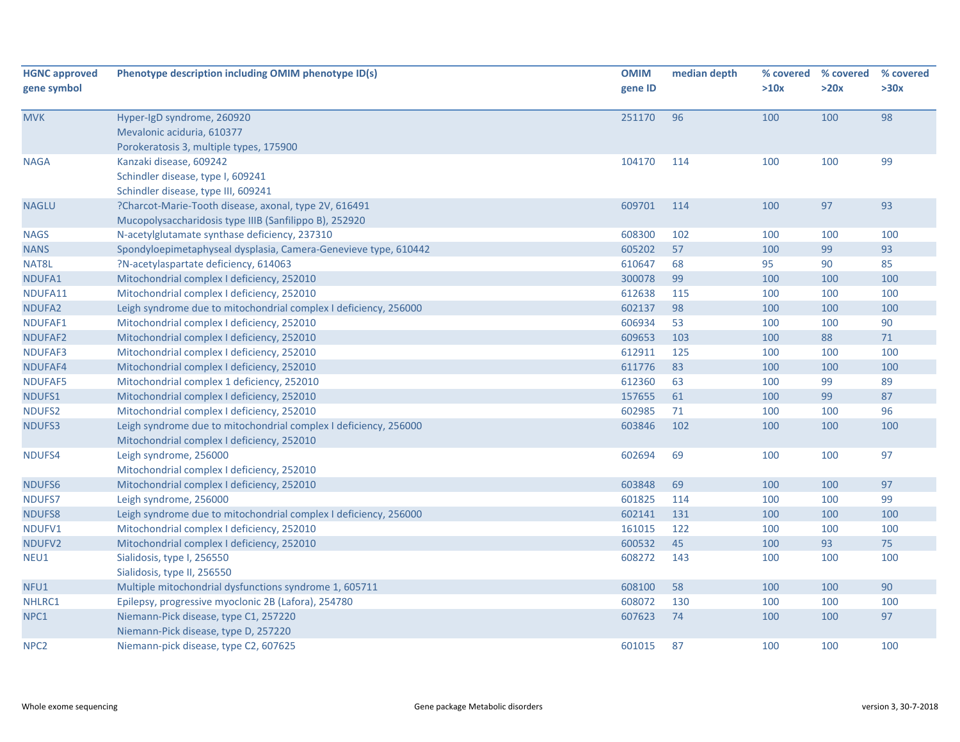| <b>HGNC approved</b> | Phenotype description including OMIM phenotype ID(s)             | <b>OMIM</b> | median depth | % covered | % covered | % covered |
|----------------------|------------------------------------------------------------------|-------------|--------------|-----------|-----------|-----------|
| gene symbol          |                                                                  | gene ID     |              | >10x      | >20x      | >30x      |
| <b>MVK</b>           | Hyper-IgD syndrome, 260920                                       | 251170      | 96           | 100       | 100       | 98        |
|                      | Mevalonic aciduria, 610377                                       |             |              |           |           |           |
|                      | Porokeratosis 3, multiple types, 175900                          |             |              |           |           |           |
| <b>NAGA</b>          | Kanzaki disease, 609242                                          | 104170      | 114          | 100       | 100       | 99        |
|                      | Schindler disease, type I, 609241                                |             |              |           |           |           |
|                      | Schindler disease, type III, 609241                              |             |              |           |           |           |
| <b>NAGLU</b>         | ?Charcot-Marie-Tooth disease, axonal, type 2V, 616491            | 609701      | 114          | 100       | 97        | 93        |
|                      | Mucopolysaccharidosis type IIIB (Sanfilippo B), 252920           |             |              |           |           |           |
| <b>NAGS</b>          | N-acetylglutamate synthase deficiency, 237310                    | 608300      | 102          | 100       | 100       | 100       |
| <b>NANS</b>          | Spondyloepimetaphyseal dysplasia, Camera-Genevieve type, 610442  | 605202      | 57           | 100       | 99        | 93        |
| NAT8L                | ?N-acetylaspartate deficiency, 614063                            | 610647      | 68           | 95        | 90        | 85        |
| NDUFA1               | Mitochondrial complex I deficiency, 252010                       | 300078      | 99           | 100       | 100       | 100       |
| NDUFA11              | Mitochondrial complex I deficiency, 252010                       | 612638      | 115          | 100       | 100       | 100       |
| NDUFA <sub>2</sub>   | Leigh syndrome due to mitochondrial complex I deficiency, 256000 | 602137      | 98           | 100       | 100       | 100       |
| NDUFAF1              | Mitochondrial complex I deficiency, 252010                       | 606934      | 53           | 100       | 100       | 90        |
| <b>NDUFAF2</b>       | Mitochondrial complex I deficiency, 252010                       | 609653      | 103          | 100       | 88        | $71$      |
| NDUFAF3              | Mitochondrial complex I deficiency, 252010                       | 612911      | 125          | 100       | 100       | 100       |
| NDUFAF4              | Mitochondrial complex I deficiency, 252010                       | 611776      | 83           | 100       | 100       | 100       |
| NDUFAF5              | Mitochondrial complex 1 deficiency, 252010                       | 612360      | 63           | 100       | 99        | 89        |
| NDUFS1               | Mitochondrial complex I deficiency, 252010                       | 157655      | 61           | 100       | 99        | 87        |
| NDUFS2               | Mitochondrial complex I deficiency, 252010                       | 602985      | 71           | 100       | 100       | 96        |
| <b>NDUFS3</b>        | Leigh syndrome due to mitochondrial complex I deficiency, 256000 | 603846      | 102          | 100       | 100       | 100       |
|                      | Mitochondrial complex I deficiency, 252010                       |             |              |           |           |           |
| NDUFS4               | Leigh syndrome, 256000                                           | 602694      | 69           | 100       | 100       | 97        |
|                      | Mitochondrial complex I deficiency, 252010                       |             |              |           |           |           |
| NDUFS6               | Mitochondrial complex I deficiency, 252010                       | 603848      | 69           | 100       | 100       | 97        |
| <b>NDUFS7</b>        | Leigh syndrome, 256000                                           | 601825      | 114          | 100       | 100       | 99        |
| NDUFS8               | Leigh syndrome due to mitochondrial complex I deficiency, 256000 | 602141      | 131          | 100       | 100       | 100       |
| NDUFV1               | Mitochondrial complex I deficiency, 252010                       | 161015      | 122          | 100       | 100       | 100       |
| NDUFV2               | Mitochondrial complex I deficiency, 252010                       | 600532      | 45           | 100       | 93        | 75        |
| NEU1                 | Sialidosis, type I, 256550                                       | 608272      | 143          | 100       | 100       | 100       |
|                      | Sialidosis, type II, 256550                                      |             |              |           |           |           |
| NFU1                 | Multiple mitochondrial dysfunctions syndrome 1, 605711           | 608100      | 58           | 100       | 100       | 90        |
| NHLRC1               | Epilepsy, progressive myoclonic 2B (Lafora), 254780              | 608072      | 130          | 100       | 100       | 100       |
| NPC1                 | Niemann-Pick disease, type C1, 257220                            | 607623      | 74           | 100       | 100       | 97        |
|                      | Niemann-Pick disease, type D, 257220                             |             |              |           |           |           |
| NPC <sub>2</sub>     | Niemann-pick disease, type C2, 607625                            | 601015      | 87           | 100       | 100       | 100       |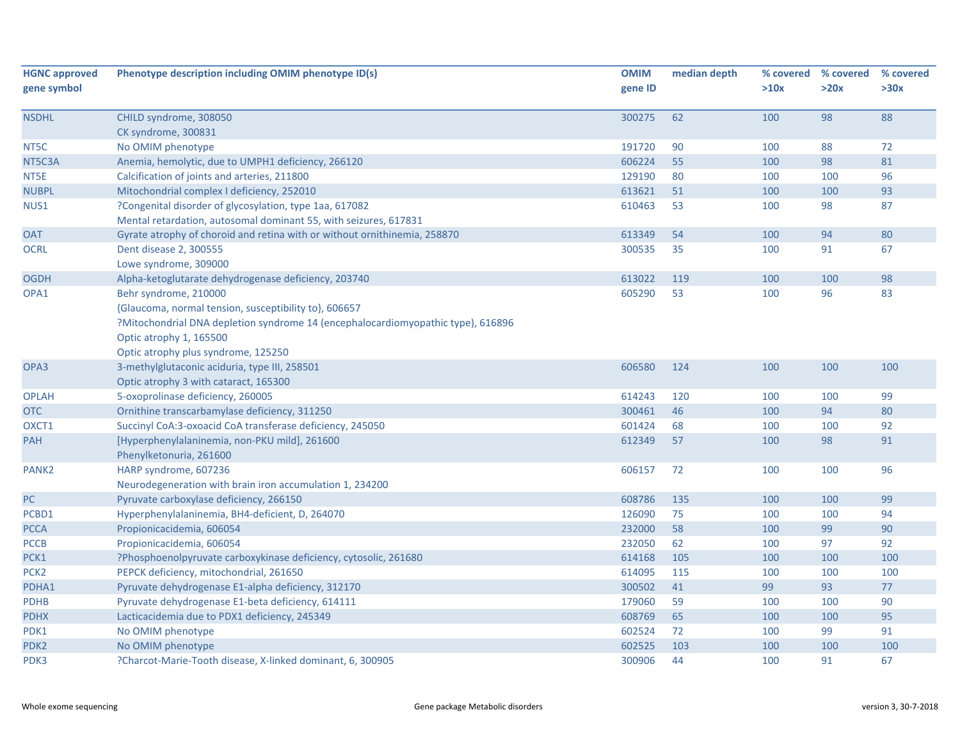| <b>HGNC approved</b> | Phenotype description including OMIM phenotype ID(s)                             | <b>OMIM</b> | median depth | % covered | % covered | % covered |
|----------------------|----------------------------------------------------------------------------------|-------------|--------------|-----------|-----------|-----------|
| gene symbol          |                                                                                  | gene ID     |              | >10x      | >20x      | >30x      |
| <b>NSDHL</b>         | CHILD syndrome, 308050                                                           | 300275      | 62           | 100       | 98        | 88        |
|                      | CK syndrome, 300831                                                              |             |              |           |           |           |
| NT5C                 | No OMIM phenotype                                                                | 191720      | 90           | 100       | 88        | 72        |
| NT5C3A               | Anemia, hemolytic, due to UMPH1 deficiency, 266120                               | 606224      | 55           | 100       | 98        | 81        |
| NT5E                 | Calcification of joints and arteries, 211800                                     | 129190      | 80           | 100       | 100       | 96        |
| <b>NUBPL</b>         | Mitochondrial complex I deficiency, 252010                                       | 613621      | 51           | 100       | 100       | 93        |
| NUS1                 | ?Congenital disorder of glycosylation, type 1aa, 617082                          | 610463      | 53           | 100       | 98        | 87        |
|                      | Mental retardation, autosomal dominant 55, with seizures, 617831                 |             |              |           |           |           |
| <b>OAT</b>           | Gyrate atrophy of choroid and retina with or without ornithinemia, 258870        | 613349      | 54           | 100       | 94        | 80        |
| OCRL                 | Dent disease 2, 300555                                                           | 300535      | 35           | 100       | 91        | 67        |
|                      | Lowe syndrome, 309000                                                            |             |              |           |           |           |
| <b>OGDH</b>          | Alpha-ketoglutarate dehydrogenase deficiency, 203740                             | 613022      | 119          | 100       | 100       | 98        |
| OPA1                 | Behr syndrome, 210000                                                            | 605290      | 53           | 100       | 96        | 83        |
|                      | {Glaucoma, normal tension, susceptibility to}, 606657                            |             |              |           |           |           |
|                      | ?Mitochondrial DNA depletion syndrome 14 (encephalocardiomyopathic type), 616896 |             |              |           |           |           |
|                      | Optic atrophy 1, 165500                                                          |             |              |           |           |           |
|                      | Optic atrophy plus syndrome, 125250                                              |             |              |           |           |           |
| OPA3                 | 3-methylglutaconic aciduria, type III, 258501                                    | 606580      | 124          | 100       | 100       | 100       |
|                      | Optic atrophy 3 with cataract, 165300                                            |             |              |           |           |           |
| <b>OPLAH</b>         | 5-oxoprolinase deficiency, 260005                                                | 614243      | 120          | 100       | 100       | 99        |
| OTC                  | Ornithine transcarbamylase deficiency, 311250                                    | 300461      | 46           | 100       | 94        | 80        |
| OXCT1                | Succinyl CoA:3-oxoacid CoA transferase deficiency, 245050                        | 601424      | 68           | 100       | 100       | 92        |
| <b>PAH</b>           | [Hyperphenylalaninemia, non-PKU mild], 261600                                    | 612349      | 57           | 100       | 98        | 91        |
|                      | Phenylketonuria, 261600                                                          |             |              |           |           |           |
| PANK <sub>2</sub>    | HARP syndrome, 607236                                                            | 606157      | 72           | 100       | 100       | 96        |
|                      | Neurodegeneration with brain iron accumulation 1, 234200                         |             |              |           |           |           |
| ${\sf PC}$           | Pyruvate carboxylase deficiency, 266150                                          | 608786      | 135          | 100       | 100       | 99        |
| PCBD1                | Hyperphenylalaninemia, BH4-deficient, D, 264070                                  | 126090      | 75           | 100       | 100       | 94        |
| <b>PCCA</b>          | Propionicacidemia, 606054                                                        | 232000      | 58           | 100       | 99        | 90        |
| PCCB                 | Propionicacidemia, 606054                                                        | 232050      | 62           | 100       | 97        | 92        |
| PCK1                 | ?Phosphoenolpyruvate carboxykinase deficiency, cytosolic, 261680                 | 614168      | 105          | 100       | 100       | 100       |
| PCK <sub>2</sub>     | PEPCK deficiency, mitochondrial, 261650                                          | 614095      | 115          | 100       | 100       | 100       |
| PDHA1                | Pyruvate dehydrogenase E1-alpha deficiency, 312170                               | 300502      | 41           | 99        | 93        | 77        |
| <b>PDHB</b>          | Pyruvate dehydrogenase E1-beta deficiency, 614111                                | 179060      | 59           | 100       | 100       | 90        |
| <b>PDHX</b>          | Lacticacidemia due to PDX1 deficiency, 245349                                    | 608769      | 65           | 100       | 100       | 95        |
| PDK1                 | No OMIM phenotype                                                                | 602524      | 72           | 100       | 99        | 91        |
| PDK <sub>2</sub>     | No OMIM phenotype                                                                | 602525      | 103          | 100       | 100       | 100       |
| PDK3                 | ?Charcot-Marie-Tooth disease, X-linked dominant, 6, 300905                       | 300906      | 44           | 100       | 91        | 67        |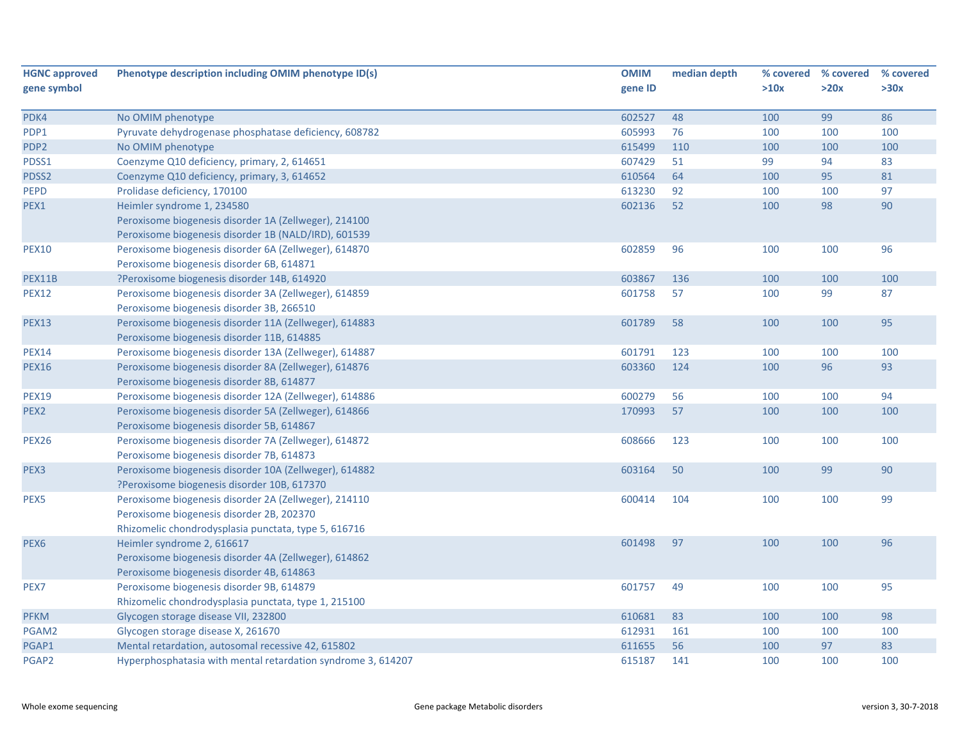| <b>HGNC approved</b> | Phenotype description including OMIM phenotype ID(s)         | <b>OMIM</b> | median depth | % covered | % covered | % covered |
|----------------------|--------------------------------------------------------------|-------------|--------------|-----------|-----------|-----------|
| gene symbol          |                                                              | gene ID     |              | >10x      | >20x      | >30x      |
|                      |                                                              |             |              |           |           |           |
| PDK4                 | No OMIM phenotype                                            | 602527      | 48           | 100       | 99        | 86        |
| PDP1                 | Pyruvate dehydrogenase phosphatase deficiency, 608782        | 605993      | 76           | 100       | 100       | 100       |
| PDP <sub>2</sub>     | No OMIM phenotype                                            | 615499      | 110          | 100       | 100       | 100       |
| PDSS1                | Coenzyme Q10 deficiency, primary, 2, 614651                  | 607429      | 51           | 99        | 94        | 83        |
| PDSS2                | Coenzyme Q10 deficiency, primary, 3, 614652                  | 610564      | 64           | 100       | 95        | 81        |
| PEPD                 | Prolidase deficiency, 170100                                 | 613230      | 92           | 100       | 100       | 97        |
| PEX1                 | Heimler syndrome 1, 234580                                   | 602136      | 52           | 100       | 98        | 90        |
|                      | Peroxisome biogenesis disorder 1A (Zellweger), 214100        |             |              |           |           |           |
|                      | Peroxisome biogenesis disorder 1B (NALD/IRD), 601539         |             |              |           |           |           |
| <b>PEX10</b>         | Peroxisome biogenesis disorder 6A (Zellweger), 614870        | 602859      | 96           | 100       | 100       | 96        |
|                      | Peroxisome biogenesis disorder 6B, 614871                    |             |              |           |           |           |
| PEX11B               | ?Peroxisome biogenesis disorder 14B, 614920                  | 603867      | 136          | 100       | 100       | 100       |
| <b>PEX12</b>         | Peroxisome biogenesis disorder 3A (Zellweger), 614859        | 601758      | 57           | 100       | 99        | 87        |
|                      | Peroxisome biogenesis disorder 3B, 266510                    |             |              |           |           |           |
| <b>PEX13</b>         | Peroxisome biogenesis disorder 11A (Zellweger), 614883       | 601789      | 58           | 100       | 100       | 95        |
|                      | Peroxisome biogenesis disorder 11B, 614885                   |             |              |           |           |           |
| <b>PEX14</b>         | Peroxisome biogenesis disorder 13A (Zellweger), 614887       | 601791      | 123          | 100       | 100       | 100       |
| <b>PEX16</b>         | Peroxisome biogenesis disorder 8A (Zellweger), 614876        | 603360      | 124          | 100       | 96        | 93        |
|                      | Peroxisome biogenesis disorder 8B, 614877                    |             |              |           |           |           |
| <b>PEX19</b>         | Peroxisome biogenesis disorder 12A (Zellweger), 614886       | 600279      | 56           | 100       | 100       | 94        |
| PEX <sub>2</sub>     | Peroxisome biogenesis disorder 5A (Zellweger), 614866        | 170993      | 57           | 100       | 100       | 100       |
|                      | Peroxisome biogenesis disorder 5B, 614867                    |             |              |           |           |           |
| <b>PEX26</b>         | Peroxisome biogenesis disorder 7A (Zellweger), 614872        | 608666      | 123          | 100       | 100       | 100       |
|                      | Peroxisome biogenesis disorder 7B, 614873                    |             |              |           |           |           |
| PEX <sub>3</sub>     | Peroxisome biogenesis disorder 10A (Zellweger), 614882       | 603164      | 50           | 100       | 99        | 90        |
|                      | ?Peroxisome biogenesis disorder 10B, 617370                  |             |              |           |           |           |
| PEX5                 | Peroxisome biogenesis disorder 2A (Zellweger), 214110        | 600414      | 104          | 100       | 100       | 99        |
|                      | Peroxisome biogenesis disorder 2B, 202370                    |             |              |           |           |           |
|                      | Rhizomelic chondrodysplasia punctata, type 5, 616716         |             |              |           |           |           |
| PEX <sub>6</sub>     | Heimler syndrome 2, 616617                                   | 601498      | 97           | 100       | 100       | 96        |
|                      | Peroxisome biogenesis disorder 4A (Zellweger), 614862        |             |              |           |           |           |
|                      | Peroxisome biogenesis disorder 4B, 614863                    |             |              |           |           |           |
| PEX7                 | Peroxisome biogenesis disorder 9B, 614879                    | 601757      | 49           | 100       | 100       | 95        |
|                      | Rhizomelic chondrodysplasia punctata, type 1, 215100         |             |              |           |           |           |
| <b>PFKM</b>          | Glycogen storage disease VII, 232800                         | 610681      | 83           | 100       | 100       | 98        |
| PGAM2                | Glycogen storage disease X, 261670                           | 612931      | 161          | 100       | 100       | 100       |
| PGAP1                | Mental retardation, autosomal recessive 42, 615802           | 611655      | 56           | 100       | 97        | 83        |
| PGAP2                | Hyperphosphatasia with mental retardation syndrome 3, 614207 | 615187      | 141          | 100       | 100       | 100       |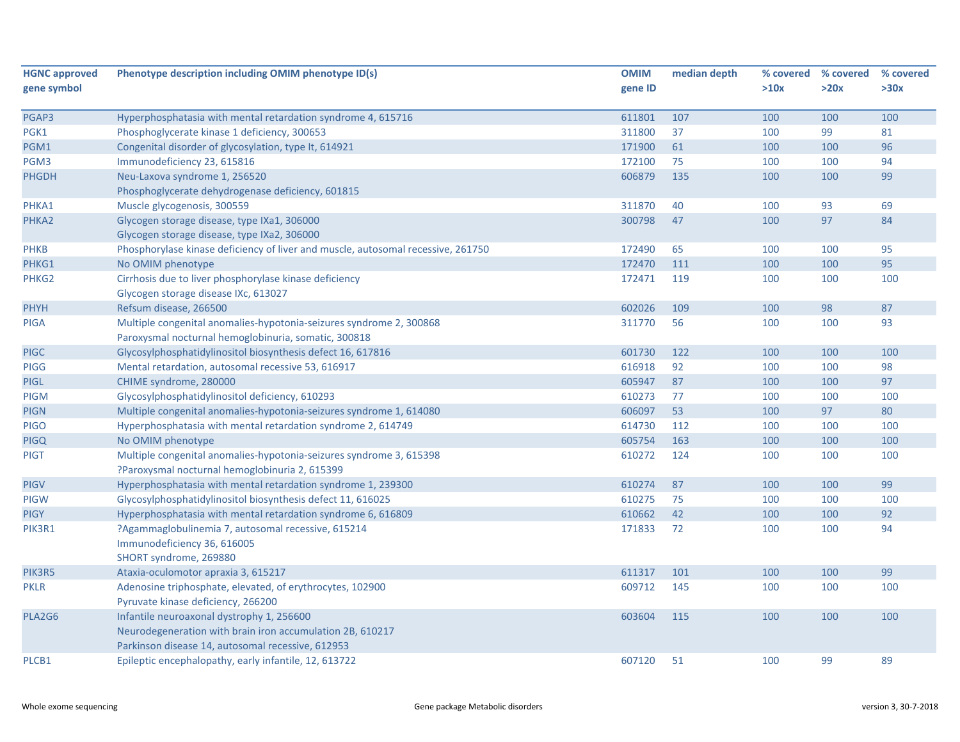| <b>HGNC approved</b> | Phenotype description including OMIM phenotype ID(s)                             | <b>OMIM</b> | median depth | % covered | % covered | % covered |
|----------------------|----------------------------------------------------------------------------------|-------------|--------------|-----------|-----------|-----------|
| gene symbol          |                                                                                  | gene ID     |              | >10x      | >20x      | >30x      |
|                      |                                                                                  |             |              |           |           |           |
| PGAP3                | Hyperphosphatasia with mental retardation syndrome 4, 615716                     | 611801      | 107          | 100       | 100       | 100       |
| PGK1                 | Phosphoglycerate kinase 1 deficiency, 300653                                     | 311800      | 37           | 100       | 99        | 81        |
| PGM1                 | Congenital disorder of glycosylation, type It, 614921                            | 171900      | 61           | 100       | 100       | 96        |
| PGM3                 | Immunodeficiency 23, 615816                                                      | 172100      | 75           | 100       | 100       | 94        |
| <b>PHGDH</b>         | Neu-Laxova syndrome 1, 256520                                                    | 606879      | 135          | 100       | 100       | 99        |
|                      | Phosphoglycerate dehydrogenase deficiency, 601815                                |             |              |           |           |           |
| PHKA1                | Muscle glycogenosis, 300559                                                      | 311870      | 40           | 100       | 93        | 69        |
| PHKA2                | Glycogen storage disease, type IXa1, 306000                                      | 300798      | 47           | 100       | 97        | 84        |
|                      | Glycogen storage disease, type IXa2, 306000                                      |             |              |           |           |           |
| <b>PHKB</b>          | Phosphorylase kinase deficiency of liver and muscle, autosomal recessive, 261750 | 172490      | 65           | 100       | 100       | 95        |
| PHKG1                | No OMIM phenotype                                                                | 172470      | 111          | 100       | 100       | 95        |
| PHKG2                | Cirrhosis due to liver phosphorylase kinase deficiency                           | 172471      | 119          | 100       | 100       | 100       |
|                      | Glycogen storage disease IXc, 613027                                             |             |              |           |           |           |
| <b>PHYH</b>          | Refsum disease, 266500                                                           | 602026      | 109          | 100       | 98        | 87        |
| <b>PIGA</b>          | Multiple congenital anomalies-hypotonia-seizures syndrome 2, 300868              | 311770      | 56           | 100       | 100       | 93        |
|                      | Paroxysmal nocturnal hemoglobinuria, somatic, 300818                             |             |              |           |           |           |
| <b>PIGC</b>          | Glycosylphosphatidylinositol biosynthesis defect 16, 617816                      | 601730      | 122          | 100       | 100       | 100       |
| <b>PIGG</b>          | Mental retardation, autosomal recessive 53, 616917                               | 616918      | 92           | 100       | 100       | 98        |
| <b>PIGL</b>          | CHIME syndrome, 280000                                                           | 605947      | 87           | 100       | 100       | 97        |
| <b>PIGM</b>          | Glycosylphosphatidylinositol deficiency, 610293                                  | 610273      | 77           | 100       | 100       | 100       |
| <b>PIGN</b>          | Multiple congenital anomalies-hypotonia-seizures syndrome 1, 614080              | 606097      | 53           | 100       | 97        | 80        |
| <b>PIGO</b>          | Hyperphosphatasia with mental retardation syndrome 2, 614749                     | 614730      | 112          | 100       | 100       | 100       |
| <b>PIGQ</b>          | No OMIM phenotype                                                                | 605754      | 163          | 100       | 100       | 100       |
| <b>PIGT</b>          | Multiple congenital anomalies-hypotonia-seizures syndrome 3, 615398              | 610272      | 124          | 100       | 100       | 100       |
|                      | ?Paroxysmal nocturnal hemoglobinuria 2, 615399                                   |             |              |           |           |           |
| <b>PIGV</b>          | Hyperphosphatasia with mental retardation syndrome 1, 239300                     | 610274      | 87           | 100       | 100       | 99        |
| <b>PIGW</b>          | Glycosylphosphatidylinositol biosynthesis defect 11, 616025                      | 610275      | 75           | 100       | 100       | 100       |
| <b>PIGY</b>          | Hyperphosphatasia with mental retardation syndrome 6, 616809                     | 610662      | 42           | 100       | 100       | 92        |
| PIK3R1               | ?Agammaglobulinemia 7, autosomal recessive, 615214                               | 171833      | 72           | 100       | 100       | 94        |
|                      | Immunodeficiency 36, 616005                                                      |             |              |           |           |           |
|                      | SHORT syndrome, 269880                                                           |             |              |           |           |           |
| PIK3R5               | Ataxia-oculomotor apraxia 3, 615217                                              | 611317      | 101          | 100       | 100       | 99        |
| <b>PKLR</b>          | Adenosine triphosphate, elevated, of erythrocytes, 102900                        | 609712      | 145          | 100       | 100       | 100       |
|                      | Pyruvate kinase deficiency, 266200                                               |             |              |           |           |           |
| PLA2G6               | Infantile neuroaxonal dystrophy 1, 256600                                        | 603604      | 115          | 100       | 100       | 100       |
|                      | Neurodegeneration with brain iron accumulation 2B, 610217                        |             |              |           |           |           |
|                      | Parkinson disease 14, autosomal recessive, 612953                                |             |              |           |           |           |
| PLCB1                | Epileptic encephalopathy, early infantile, 12, 613722                            | 607120      | 51           | 100       | 99        | 89        |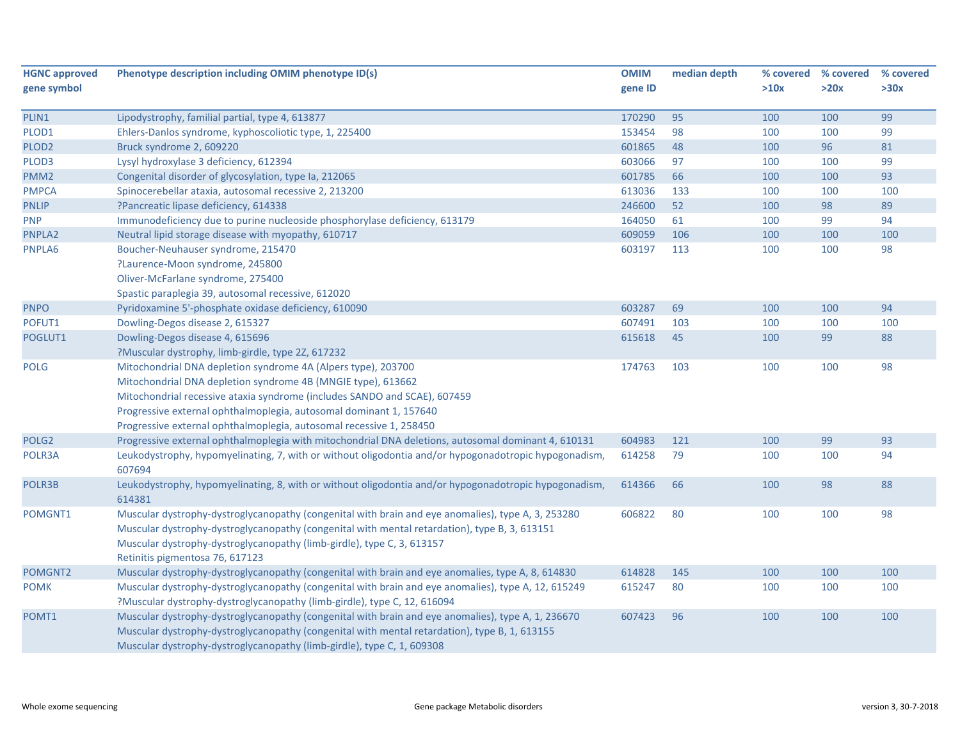| <b>HGNC approved</b> | Phenotype description including OMIM phenotype ID(s)                                                  | <b>OMIM</b> | median depth | % covered | % covered | % covered |
|----------------------|-------------------------------------------------------------------------------------------------------|-------------|--------------|-----------|-----------|-----------|
| gene symbol          |                                                                                                       | gene ID     |              | >10x      | >20x      | >30x      |
|                      |                                                                                                       |             |              |           |           |           |
| PLIN1                | Lipodystrophy, familial partial, type 4, 613877                                                       | 170290      | 95           | 100       | 100       | 99        |
| PLOD1                | Ehlers-Danlos syndrome, kyphoscoliotic type, 1, 225400                                                | 153454      | 98           | 100       | 100       | 99        |
| PLOD <sub>2</sub>    | Bruck syndrome 2, 609220                                                                              | 601865      | 48           | 100       | 96        | 81        |
| PLOD3                | Lysyl hydroxylase 3 deficiency, 612394                                                                | 603066      | 97           | 100       | 100       | 99        |
| PMM <sub>2</sub>     | Congenital disorder of glycosylation, type Ia, 212065                                                 | 601785      | 66           | 100       | 100       | 93        |
| <b>PMPCA</b>         | Spinocerebellar ataxia, autosomal recessive 2, 213200                                                 | 613036      | 133          | 100       | 100       | 100       |
| <b>PNLIP</b>         | ?Pancreatic lipase deficiency, 614338                                                                 | 246600      | 52           | 100       | 98        | 89        |
| <b>PNP</b>           | Immunodeficiency due to purine nucleoside phosphorylase deficiency, 613179                            | 164050      | 61           | 100       | 99        | 94        |
| PNPLA2               | Neutral lipid storage disease with myopathy, 610717                                                   | 609059      | 106          | 100       | 100       | 100       |
| PNPLA6               | Boucher-Neuhauser syndrome, 215470                                                                    | 603197      | 113          | 100       | 100       | 98        |
|                      | ?Laurence-Moon syndrome, 245800                                                                       |             |              |           |           |           |
|                      | Oliver-McFarlane syndrome, 275400                                                                     |             |              |           |           |           |
|                      | Spastic paraplegia 39, autosomal recessive, 612020                                                    |             |              |           |           |           |
| <b>PNPO</b>          | Pyridoxamine 5'-phosphate oxidase deficiency, 610090                                                  | 603287      | 69           | 100       | 100       | 94        |
| POFUT1               | Dowling-Degos disease 2, 615327                                                                       | 607491      | 103          | 100       | 100       | 100       |
| POGLUT1              | Dowling-Degos disease 4, 615696                                                                       | 615618      | 45           | 100       | 99        | 88        |
|                      | ?Muscular dystrophy, limb-girdle, type 2Z, 617232                                                     |             |              |           |           |           |
| <b>POLG</b>          | Mitochondrial DNA depletion syndrome 4A (Alpers type), 203700                                         | 174763      | 103          | 100       | 100       | 98        |
|                      | Mitochondrial DNA depletion syndrome 4B (MNGIE type), 613662                                          |             |              |           |           |           |
|                      | Mitochondrial recessive ataxia syndrome (includes SANDO and SCAE), 607459                             |             |              |           |           |           |
|                      | Progressive external ophthalmoplegia, autosomal dominant 1, 157640                                    |             |              |           |           |           |
|                      | Progressive external ophthalmoplegia, autosomal recessive 1, 258450                                   |             |              |           |           |           |
| POLG <sub>2</sub>    | Progressive external ophthalmoplegia with mitochondrial DNA deletions, autosomal dominant 4, 610131   | 604983      | 121          | 100       | 99        | 93        |
| POLR3A               | Leukodystrophy, hypomyelinating, 7, with or without oligodontia and/or hypogonadotropic hypogonadism, | 614258      | 79           | 100       | 100       | 94        |
|                      | 607694                                                                                                |             |              |           |           |           |
| POLR3B               | Leukodystrophy, hypomyelinating, 8, with or without oligodontia and/or hypogonadotropic hypogonadism, | 614366      | 66           | 100       | 98        | 88        |
|                      | 614381                                                                                                |             |              |           |           |           |
| POMGNT1              | Muscular dystrophy-dystroglycanopathy (congenital with brain and eye anomalies), type A, 3, 253280    | 606822      | 80           | 100       | 100       | 98        |
|                      | Muscular dystrophy-dystroglycanopathy (congenital with mental retardation), type B, 3, 613151         |             |              |           |           |           |
|                      | Muscular dystrophy-dystroglycanopathy (limb-girdle), type C, 3, 613157                                |             |              |           |           |           |
|                      | Retinitis pigmentosa 76, 617123                                                                       |             |              |           |           |           |
| POMGNT2              | Muscular dystrophy-dystroglycanopathy (congenital with brain and eye anomalies, type A, 8, 614830     | 614828      | 145          | 100       | 100       | 100       |
| <b>POMK</b>          | Muscular dystrophy-dystroglycanopathy (congenital with brain and eye anomalies), type A, 12, 615249   | 615247      | 80           | 100       | 100       | 100       |
|                      | ?Muscular dystrophy-dystroglycanopathy (limb-girdle), type C, 12, 616094                              |             |              |           |           |           |
| POMT1                | Muscular dystrophy-dystroglycanopathy (congenital with brain and eye anomalies), type A, 1, 236670    | 607423      | 96           | 100       | 100       | 100       |
|                      | Muscular dystrophy-dystroglycanopathy (congenital with mental retardation), type B, 1, 613155         |             |              |           |           |           |
|                      | Muscular dystrophy-dystroglycanopathy (limb-girdle), type C, 1, 609308                                |             |              |           |           |           |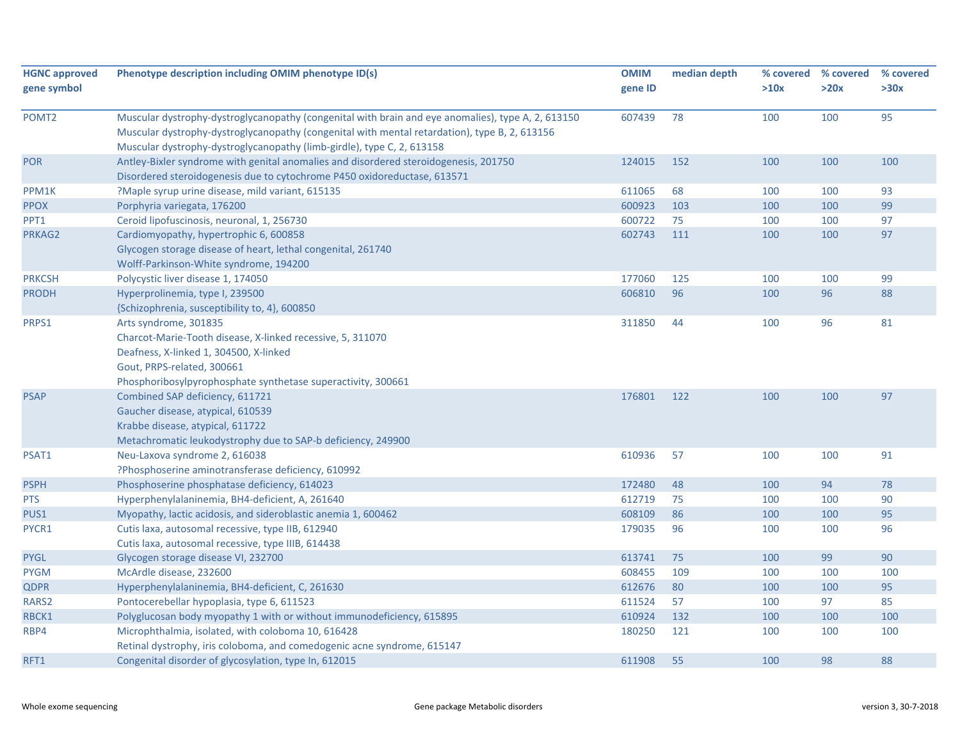| <b>HGNC approved</b><br>gene symbol | Phenotype description including OMIM phenotype ID(s)                                                                                                                                                                                                                          | <b>OMIM</b><br>gene ID | median depth | % covered<br>>10x | % covered<br>>20x | % covered<br>>30x |
|-------------------------------------|-------------------------------------------------------------------------------------------------------------------------------------------------------------------------------------------------------------------------------------------------------------------------------|------------------------|--------------|-------------------|-------------------|-------------------|
| POMT <sub>2</sub>                   | Muscular dystrophy-dystroglycanopathy (congenital with brain and eye anomalies), type A, 2, 613150<br>Muscular dystrophy-dystroglycanopathy (congenital with mental retardation), type B, 2, 613156<br>Muscular dystrophy-dystroglycanopathy (limb-girdle), type C, 2, 613158 | 607439                 | 78           | 100               | 100               | 95                |
| <b>POR</b>                          | Antley-Bixler syndrome with genital anomalies and disordered steroidogenesis, 201750<br>Disordered steroidogenesis due to cytochrome P450 oxidoreductase, 613571                                                                                                              | 124015                 | 152          | 100               | 100               | 100               |
| PPM1K                               | ?Maple syrup urine disease, mild variant, 615135                                                                                                                                                                                                                              | 611065                 | 68           | 100               | 100               | 93                |
| <b>PPOX</b>                         | Porphyria variegata, 176200                                                                                                                                                                                                                                                   | 600923                 | 103          | 100               | 100               | 99                |
| PPT1                                | Ceroid lipofuscinosis, neuronal, 1, 256730                                                                                                                                                                                                                                    | 600722                 | 75           | 100               | 100               | 97                |
| PRKAG2                              | Cardiomyopathy, hypertrophic 6, 600858                                                                                                                                                                                                                                        | 602743                 | 111          | 100               | 100               | 97                |
|                                     | Glycogen storage disease of heart, lethal congenital, 261740                                                                                                                                                                                                                  |                        |              |                   |                   |                   |
|                                     | Wolff-Parkinson-White syndrome, 194200                                                                                                                                                                                                                                        |                        |              |                   |                   |                   |
| <b>PRKCSH</b>                       | Polycystic liver disease 1, 174050                                                                                                                                                                                                                                            | 177060                 | 125          | 100               | 100               | 99                |
| <b>PRODH</b>                        | Hyperprolinemia, type I, 239500                                                                                                                                                                                                                                               | 606810                 | 96           | 100               | 96                | 88                |
|                                     | {Schizophrenia, susceptibility to, 4}, 600850                                                                                                                                                                                                                                 |                        |              |                   |                   |                   |
| PRPS1                               | Arts syndrome, 301835                                                                                                                                                                                                                                                         | 311850                 | 44           | 100               | 96                | 81                |
|                                     | Charcot-Marie-Tooth disease, X-linked recessive, 5, 311070                                                                                                                                                                                                                    |                        |              |                   |                   |                   |
|                                     | Deafness, X-linked 1, 304500, X-linked                                                                                                                                                                                                                                        |                        |              |                   |                   |                   |
|                                     | Gout, PRPS-related, 300661                                                                                                                                                                                                                                                    |                        |              |                   |                   |                   |
|                                     | Phosphoribosylpyrophosphate synthetase superactivity, 300661                                                                                                                                                                                                                  |                        |              |                   |                   |                   |
| <b>PSAP</b>                         | Combined SAP deficiency, 611721                                                                                                                                                                                                                                               | 176801                 | 122          | 100               | 100               | 97                |
|                                     | Gaucher disease, atypical, 610539                                                                                                                                                                                                                                             |                        |              |                   |                   |                   |
|                                     | Krabbe disease, atypical, 611722                                                                                                                                                                                                                                              |                        |              |                   |                   |                   |
|                                     | Metachromatic leukodystrophy due to SAP-b deficiency, 249900                                                                                                                                                                                                                  |                        |              |                   |                   |                   |
| PSAT1                               | Neu-Laxova syndrome 2, 616038                                                                                                                                                                                                                                                 | 610936                 | 57           | 100               | 100               | 91                |
|                                     | ?Phosphoserine aminotransferase deficiency, 610992                                                                                                                                                                                                                            |                        |              |                   |                   |                   |
| <b>PSPH</b>                         | Phosphoserine phosphatase deficiency, 614023                                                                                                                                                                                                                                  | 172480                 | 48           | 100               | 94                | 78                |
| <b>PTS</b>                          | Hyperphenylalaninemia, BH4-deficient, A, 261640                                                                                                                                                                                                                               | 612719                 | 75           | 100               | 100               | 90                |
| PUS1                                | Myopathy, lactic acidosis, and sideroblastic anemia 1, 600462                                                                                                                                                                                                                 | 608109                 | 86           | 100               | 100               | 95                |
| PYCR1                               | Cutis laxa, autosomal recessive, type IIB, 612940                                                                                                                                                                                                                             | 179035                 | 96           | 100               | 100               | 96                |
|                                     | Cutis laxa, autosomal recessive, type IIIB, 614438                                                                                                                                                                                                                            |                        |              |                   |                   |                   |
| <b>PYGL</b>                         | Glycogen storage disease VI, 232700                                                                                                                                                                                                                                           | 613741                 | 75           | 100               | 99                | 90                |
| <b>PYGM</b>                         | McArdle disease, 232600                                                                                                                                                                                                                                                       | 608455                 | 109          | 100               | 100               | 100               |
| <b>QDPR</b>                         | Hyperphenylalaninemia, BH4-deficient, C, 261630                                                                                                                                                                                                                               | 612676                 | 80           | 100               | 100               | 95                |
| RARS2                               | Pontocerebellar hypoplasia, type 6, 611523                                                                                                                                                                                                                                    | 611524                 | 57           | 100               | 97                | 85                |
| RBCK1                               | Polyglucosan body myopathy 1 with or without immunodeficiency, 615895                                                                                                                                                                                                         | 610924                 | 132          | 100               | 100               | 100               |
| RBP4                                | Microphthalmia, isolated, with coloboma 10, 616428                                                                                                                                                                                                                            | 180250                 | 121          | 100               | 100               | 100               |
|                                     | Retinal dystrophy, iris coloboma, and comedogenic acne syndrome, 615147                                                                                                                                                                                                       |                        |              |                   |                   |                   |
| RFT1                                | Congenital disorder of glycosylation, type In, 612015                                                                                                                                                                                                                         | 611908                 | 55           | 100               | 98                | 88                |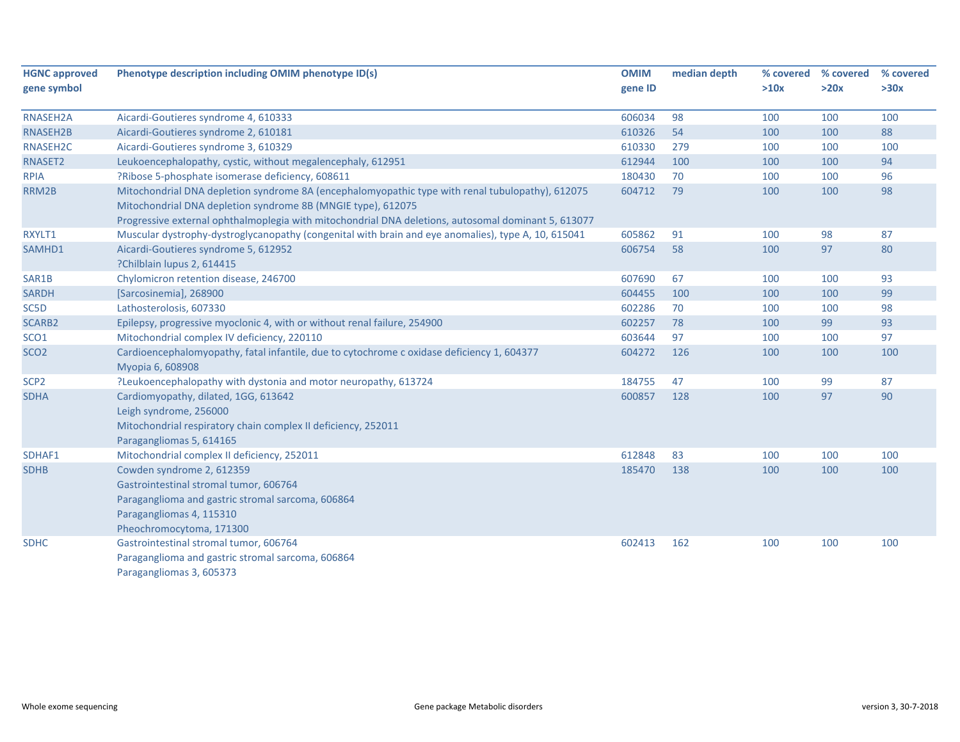| <b>HGNC approved</b> | Phenotype description including OMIM phenotype ID(s)                                                           | <b>OMIM</b> | median depth | % covered | % covered | % covered |
|----------------------|----------------------------------------------------------------------------------------------------------------|-------------|--------------|-----------|-----------|-----------|
| gene symbol          |                                                                                                                | gene ID     |              | >10x      | >20x      | >30x      |
| RNASEH2A             | Aicardi-Goutieres syndrome 4, 610333                                                                           | 606034      | 98           | 100       | 100       | 100       |
| RNASEH2B             | Aicardi-Goutieres syndrome 2, 610181                                                                           | 610326      | 54           | 100       | 100       | 88        |
| RNASEH2C             | Aicardi-Goutieres syndrome 3, 610329                                                                           | 610330      | 279          | 100       | 100       | 100       |
| RNASET2              | Leukoencephalopathy, cystic, without megalencephaly, 612951                                                    | 612944      | 100          | 100       | 100       | 94        |
| <b>RPIA</b>          | ?Ribose 5-phosphate isomerase deficiency, 608611                                                               | 180430      | 70           | 100       | 100       | 96        |
| RRM2B                | Mitochondrial DNA depletion syndrome 8A (encephalomyopathic type with renal tubulopathy), 612075               | 604712      | 79           | 100       | 100       | 98        |
|                      | Mitochondrial DNA depletion syndrome 8B (MNGIE type), 612075                                                   |             |              |           |           |           |
|                      | Progressive external ophthalmoplegia with mitochondrial DNA deletions, autosomal dominant 5, 613077            |             |              |           |           |           |
| RXYLT1               | Muscular dystrophy-dystroglycanopathy (congenital with brain and eye anomalies), type A, 10, 615041            | 605862      | 91           | 100       | 98        | 87        |
| SAMHD1               | Aicardi-Goutieres syndrome 5, 612952                                                                           | 606754      | 58           | 100       | 97        | 80        |
|                      | ?Chilblain lupus 2, 614415                                                                                     |             |              |           |           |           |
| SAR1B                | Chylomicron retention disease, 246700                                                                          | 607690      | 67           | 100       | 100       | 93        |
| <b>SARDH</b>         | [Sarcosinemia], 268900                                                                                         | 604455      | 100          | 100       | 100       | 99        |
| SC5D                 | Lathosterolosis, 607330                                                                                        | 602286      | 70           | 100       | 100       | 98        |
| <b>SCARB2</b>        | Epilepsy, progressive myoclonic 4, with or without renal failure, 254900                                       | 602257      | 78           | 100       | 99        | 93        |
| SCO <sub>1</sub>     | Mitochondrial complex IV deficiency, 220110                                                                    | 603644      | 97           | 100       | 100       | 97        |
| SCO <sub>2</sub>     | Cardioencephalomyopathy, fatal infantile, due to cytochrome c oxidase deficiency 1, 604377<br>Myopia 6, 608908 | 604272      | 126          | 100       | 100       | 100       |
| SCP <sub>2</sub>     | ?Leukoencephalopathy with dystonia and motor neuropathy, 613724                                                | 184755      | 47           | 100       | 99        | 87        |
| <b>SDHA</b>          | Cardiomyopathy, dilated, 1GG, 613642                                                                           | 600857      | 128          | 100       | 97        | 90        |
|                      | Leigh syndrome, 256000                                                                                         |             |              |           |           |           |
|                      | Mitochondrial respiratory chain complex II deficiency, 252011                                                  |             |              |           |           |           |
|                      | Paragangliomas 5, 614165                                                                                       |             |              |           |           |           |
| SDHAF1               | Mitochondrial complex II deficiency, 252011                                                                    | 612848      | 83           | 100       | 100       | 100       |
| <b>SDHB</b>          | Cowden syndrome 2, 612359                                                                                      | 185470      | 138          | 100       | 100       | 100       |
|                      | Gastrointestinal stromal tumor, 606764                                                                         |             |              |           |           |           |
|                      | Paraganglioma and gastric stromal sarcoma, 606864                                                              |             |              |           |           |           |
|                      | Paragangliomas 4, 115310                                                                                       |             |              |           |           |           |
|                      | Pheochromocytoma, 171300                                                                                       |             |              |           |           |           |
| <b>SDHC</b>          | Gastrointestinal stromal tumor, 606764                                                                         | 602413      | 162          | 100       | 100       | 100       |
|                      | Paraganglioma and gastric stromal sarcoma, 606864                                                              |             |              |           |           |           |
|                      | Paragangliomas 3, 605373                                                                                       |             |              |           |           |           |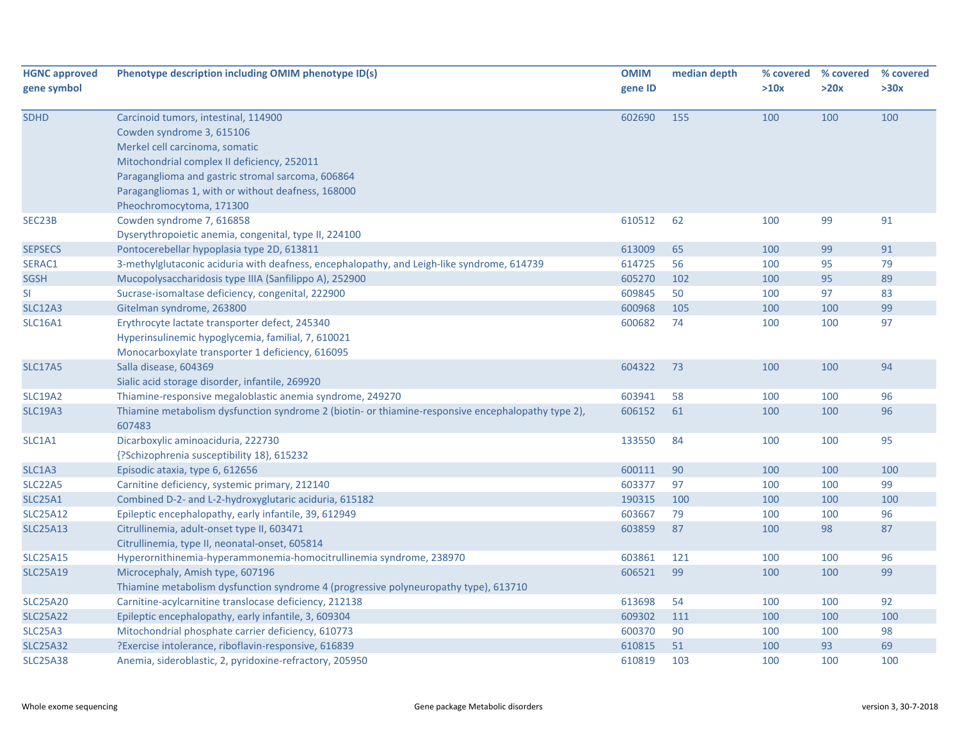| <b>HGNC approved</b><br>gene symbol | Phenotype description including OMIM phenotype ID(s)                                                                                                                                                                                                                                      | <b>OMIM</b><br>gene ID | median depth | >10x | % covered % covered<br>>20x | % covered<br>>30x |
|-------------------------------------|-------------------------------------------------------------------------------------------------------------------------------------------------------------------------------------------------------------------------------------------------------------------------------------------|------------------------|--------------|------|-----------------------------|-------------------|
| <b>SDHD</b>                         | Carcinoid tumors, intestinal, 114900<br>Cowden syndrome 3, 615106<br>Merkel cell carcinoma, somatic<br>Mitochondrial complex II deficiency, 252011<br>Paraganglioma and gastric stromal sarcoma, 606864<br>Paragangliomas 1, with or without deafness, 168000<br>Pheochromocytoma, 171300 | 602690                 | 155          | 100  | 100                         | 100               |
| SEC23B                              | Cowden syndrome 7, 616858<br>Dyserythropoietic anemia, congenital, type II, 224100                                                                                                                                                                                                        | 610512                 | 62           | 100  | 99                          | 91                |
| <b>SEPSECS</b>                      | Pontocerebellar hypoplasia type 2D, 613811                                                                                                                                                                                                                                                | 613009                 | 65           | 100  | 99                          | 91                |
| SERAC1                              | 3-methylglutaconic aciduria with deafness, encephalopathy, and Leigh-like syndrome, 614739                                                                                                                                                                                                | 614725                 | 56           | 100  | 95                          | 79                |
| <b>SGSH</b>                         | Mucopolysaccharidosis type IIIA (Sanfilippo A), 252900                                                                                                                                                                                                                                    | 605270                 | 102          | 100  | 95                          | 89                |
| SI                                  | Sucrase-isomaltase deficiency, congenital, 222900                                                                                                                                                                                                                                         | 609845                 | 50           | 100  | 97                          | 83                |
| <b>SLC12A3</b>                      | Gitelman syndrome, 263800                                                                                                                                                                                                                                                                 | 600968                 | 105          | 100  | 100                         | 99                |
| <b>SLC16A1</b>                      | Erythrocyte lactate transporter defect, 245340<br>Hyperinsulinemic hypoglycemia, familial, 7, 610021<br>Monocarboxylate transporter 1 deficiency, 616095                                                                                                                                  | 600682                 | 74           | 100  | 100                         | 97                |
| <b>SLC17A5</b>                      | Salla disease, 604369<br>Sialic acid storage disorder, infantile, 269920                                                                                                                                                                                                                  | 604322                 | 73           | 100  | 100                         | 94                |
| <b>SLC19A2</b>                      | Thiamine-responsive megaloblastic anemia syndrome, 249270                                                                                                                                                                                                                                 | 603941                 | 58           | 100  | 100                         | 96                |
| <b>SLC19A3</b>                      | Thiamine metabolism dysfunction syndrome 2 (biotin- or thiamine-responsive encephalopathy type 2),<br>607483                                                                                                                                                                              | 606152                 | 61           | 100  | 100                         | 96                |
| SLC1A1                              | Dicarboxylic aminoaciduria, 222730<br>{?Schizophrenia susceptibility 18}, 615232                                                                                                                                                                                                          | 133550                 | 84           | 100  | 100                         | 95                |
| SLC1A3                              | Episodic ataxia, type 6, 612656                                                                                                                                                                                                                                                           | 600111                 | 90           | 100  | 100                         | 100               |
| <b>SLC22A5</b>                      | Carnitine deficiency, systemic primary, 212140                                                                                                                                                                                                                                            | 603377                 | 97           | 100  | 100                         | 99                |
| <b>SLC25A1</b>                      | Combined D-2- and L-2-hydroxyglutaric aciduria, 615182                                                                                                                                                                                                                                    | 190315                 | 100          | 100  | 100                         | 100               |
| <b>SLC25A12</b>                     | Epileptic encephalopathy, early infantile, 39, 612949                                                                                                                                                                                                                                     | 603667                 | 79           | 100  | 100                         | 96                |
| <b>SLC25A13</b>                     | Citrullinemia, adult-onset type II, 603471<br>Citrullinemia, type II, neonatal-onset, 605814                                                                                                                                                                                              | 603859                 | 87           | 100  | 98                          | 87                |
| <b>SLC25A15</b>                     | Hyperornithinemia-hyperammonemia-homocitrullinemia syndrome, 238970                                                                                                                                                                                                                       | 603861                 | 121          | 100  | 100                         | 96                |
| <b>SLC25A19</b>                     | Microcephaly, Amish type, 607196<br>Thiamine metabolism dysfunction syndrome 4 (progressive polyneuropathy type), 613710                                                                                                                                                                  | 606521                 | 99           | 100  | 100                         | 99                |
| <b>SLC25A20</b>                     | Carnitine-acylcarnitine translocase deficiency, 212138                                                                                                                                                                                                                                    | 613698                 | 54           | 100  | 100                         | 92                |
| <b>SLC25A22</b>                     | Epileptic encephalopathy, early infantile, 3, 609304                                                                                                                                                                                                                                      | 609302                 | 111          | 100  | 100                         | 100               |
| SLC25A3                             | Mitochondrial phosphate carrier deficiency, 610773                                                                                                                                                                                                                                        | 600370                 | 90           | 100  | 100                         | 98                |
| <b>SLC25A32</b>                     | ?Exercise intolerance, riboflavin-responsive, 616839                                                                                                                                                                                                                                      | 610815                 | 51           | 100  | 93                          | 69                |
| <b>SLC25A38</b>                     | Anemia, sideroblastic, 2, pyridoxine-refractory, 205950                                                                                                                                                                                                                                   | 610819                 | 103          | 100  | 100                         | 100               |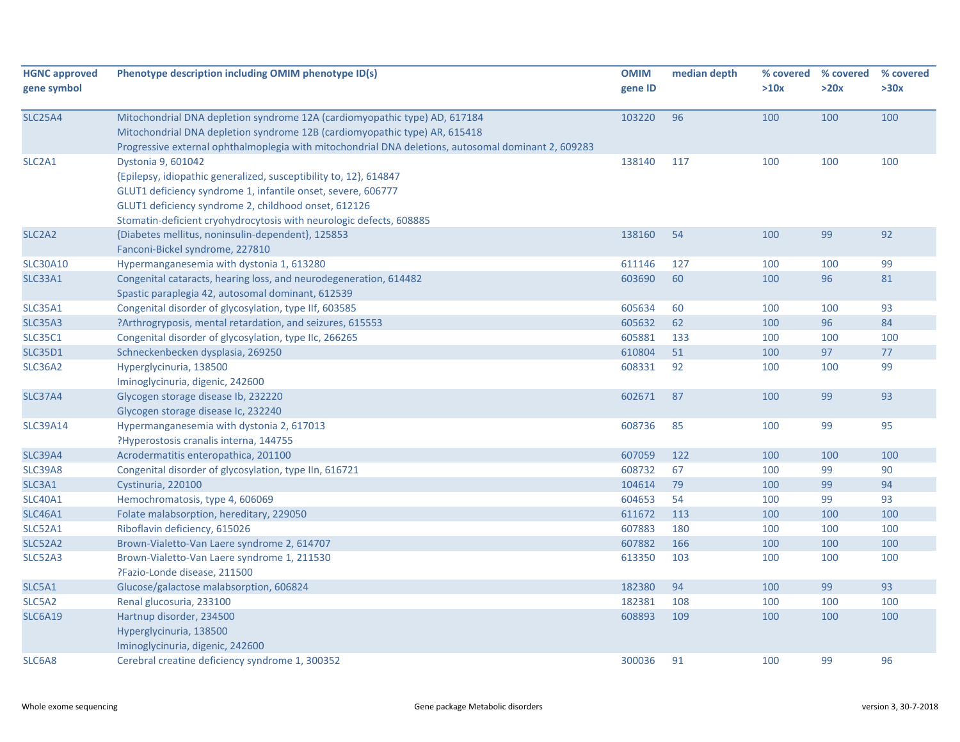| <b>HGNC approved</b><br>gene symbol | Phenotype description including OMIM phenotype ID(s)                                                                                                                                                                                                                                   | <b>OMIM</b><br>gene ID | median depth | % covered<br>>10x | % covered<br>>20x | % covered<br>>30x |
|-------------------------------------|----------------------------------------------------------------------------------------------------------------------------------------------------------------------------------------------------------------------------------------------------------------------------------------|------------------------|--------------|-------------------|-------------------|-------------------|
| <b>SLC25A4</b>                      | Mitochondrial DNA depletion syndrome 12A (cardiomyopathic type) AD, 617184<br>Mitochondrial DNA depletion syndrome 12B (cardiomyopathic type) AR, 615418<br>Progressive external ophthalmoplegia with mitochondrial DNA deletions, autosomal dominant 2, 609283                        | 103220                 | 96           | 100               | 100               | 100               |
| SLC2A1                              | Dystonia 9, 601042<br>{Epilepsy, idiopathic generalized, susceptibility to, 12}, 614847<br>GLUT1 deficiency syndrome 1, infantile onset, severe, 606777<br>GLUT1 deficiency syndrome 2, childhood onset, 612126<br>Stomatin-deficient cryohydrocytosis with neurologic defects, 608885 | 138140                 | 117          | 100               | 100               | 100               |
| SLC <sub>2</sub> A <sub>2</sub>     | {Diabetes mellitus, noninsulin-dependent}, 125853<br>Fanconi-Bickel syndrome, 227810                                                                                                                                                                                                   | 138160                 | 54           | 100               | 99                | 92                |
| <b>SLC30A10</b>                     | Hypermanganesemia with dystonia 1, 613280                                                                                                                                                                                                                                              | 611146                 | 127          | 100               | 100               | 99                |
| <b>SLC33A1</b>                      | Congenital cataracts, hearing loss, and neurodegeneration, 614482<br>Spastic paraplegia 42, autosomal dominant, 612539                                                                                                                                                                 | 603690                 | 60           | 100               | 96                | 81                |
| <b>SLC35A1</b>                      | Congenital disorder of glycosylation, type IIf, 603585                                                                                                                                                                                                                                 | 605634                 | 60           | 100               | 100               | 93                |
| SLC35A3                             | ?Arthrogryposis, mental retardation, and seizures, 615553                                                                                                                                                                                                                              | 605632                 | 62           | 100               | 96                | 84                |
| <b>SLC35C1</b>                      | Congenital disorder of glycosylation, type IIc, 266265                                                                                                                                                                                                                                 | 605881                 | 133          | 100               | 100               | 100               |
| <b>SLC35D1</b>                      | Schneckenbecken dysplasia, 269250                                                                                                                                                                                                                                                      | 610804                 | 51           | 100               | 97                | 77                |
| <b>SLC36A2</b>                      | Hyperglycinuria, 138500<br>Iminoglycinuria, digenic, 242600                                                                                                                                                                                                                            | 608331                 | 92           | 100               | 100               | 99                |
| <b>SLC37A4</b>                      | Glycogen storage disease Ib, 232220<br>Glycogen storage disease Ic, 232240                                                                                                                                                                                                             | 602671                 | 87           | 100               | 99                | 93                |
| <b>SLC39A14</b>                     | Hypermanganesemia with dystonia 2, 617013<br>?Hyperostosis cranalis interna, 144755                                                                                                                                                                                                    | 608736                 | 85           | 100               | 99                | 95                |
| <b>SLC39A4</b>                      | Acrodermatitis enteropathica, 201100                                                                                                                                                                                                                                                   | 607059                 | 122          | 100               | 100               | 100               |
| SLC39A8                             | Congenital disorder of glycosylation, type IIn, 616721                                                                                                                                                                                                                                 | 608732                 | 67           | 100               | 99                | 90                |
| SLC3A1                              | Cystinuria, 220100                                                                                                                                                                                                                                                                     | 104614                 | 79           | 100               | 99                | 94                |
| <b>SLC40A1</b>                      | Hemochromatosis, type 4, 606069                                                                                                                                                                                                                                                        | 604653                 | 54           | 100               | 99                | 93                |
| <b>SLC46A1</b>                      | Folate malabsorption, hereditary, 229050                                                                                                                                                                                                                                               | 611672                 | 113          | 100               | 100               | 100               |
| <b>SLC52A1</b>                      | Riboflavin deficiency, 615026                                                                                                                                                                                                                                                          | 607883                 | 180          | 100               | 100               | 100               |
| <b>SLC52A2</b>                      | Brown-Vialetto-Van Laere syndrome 2, 614707                                                                                                                                                                                                                                            | 607882                 | 166          | 100               | 100               | 100               |
| <b>SLC52A3</b>                      | Brown-Vialetto-Van Laere syndrome 1, 211530<br>?Fazio-Londe disease, 211500                                                                                                                                                                                                            | 613350                 | 103          | 100               | 100               | 100               |
| SLC5A1                              | Glucose/galactose malabsorption, 606824                                                                                                                                                                                                                                                | 182380                 | 94           | 100               | 99                | 93                |
| SLC5A2                              | Renal glucosuria, 233100                                                                                                                                                                                                                                                               | 182381                 | 108          | 100               | 100               | 100               |
| <b>SLC6A19</b>                      | Hartnup disorder, 234500<br>Hyperglycinuria, 138500                                                                                                                                                                                                                                    | 608893                 | 109          | 100               | 100               | 100               |
| SLC6A8                              | Iminoglycinuria, digenic, 242600<br>Cerebral creatine deficiency syndrome 1, 300352                                                                                                                                                                                                    | 300036                 | 91           | 100               | 99                | 96                |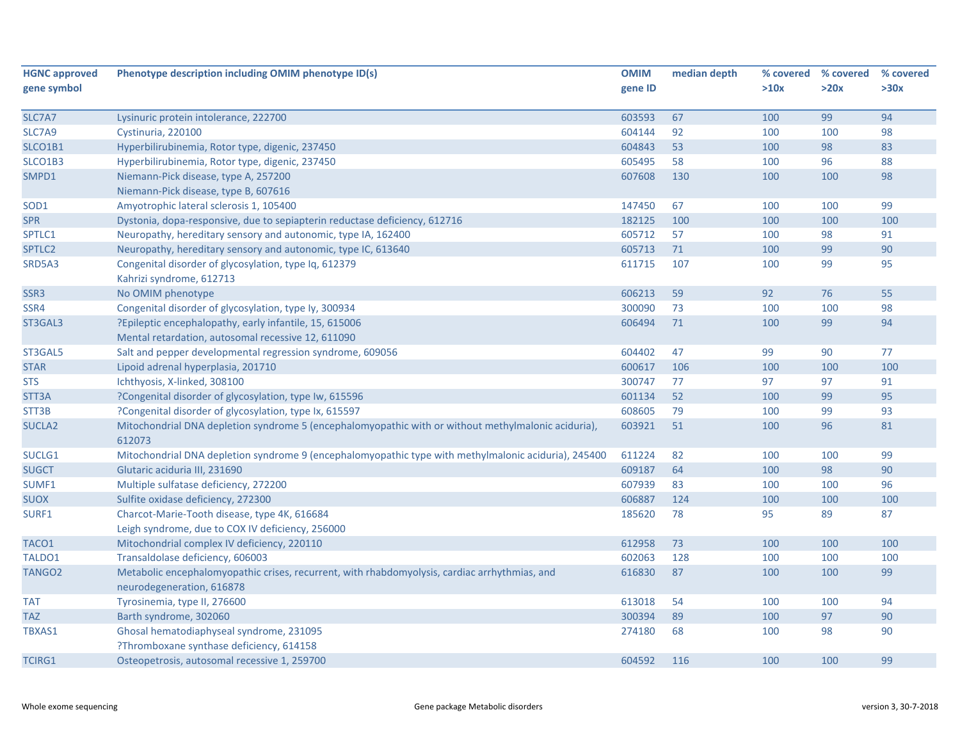| <b>HGNC approved</b> | Phenotype description including OMIM phenotype ID(s)                                                 | <b>OMIM</b> | median depth | % covered | % covered | % covered |
|----------------------|------------------------------------------------------------------------------------------------------|-------------|--------------|-----------|-----------|-----------|
| gene symbol          |                                                                                                      | gene ID     |              | >10x      | >20x      | >30x      |
|                      |                                                                                                      |             |              |           |           |           |
| SLC7A7               | Lysinuric protein intolerance, 222700                                                                | 603593      | 67           | 100       | 99        | 94        |
| SLC7A9               | Cystinuria, 220100                                                                                   | 604144      | 92           | 100       | 100       | 98        |
| SLCO1B1              | Hyperbilirubinemia, Rotor type, digenic, 237450                                                      | 604843      | 53           | 100       | 98        | 83        |
| SLCO1B3              | Hyperbilirubinemia, Rotor type, digenic, 237450                                                      | 605495      | 58           | 100       | 96        | 88        |
| SMPD1                | Niemann-Pick disease, type A, 257200                                                                 | 607608      | 130          | 100       | 100       | 98        |
|                      | Niemann-Pick disease, type B, 607616                                                                 |             |              |           |           |           |
| SOD <sub>1</sub>     | Amyotrophic lateral sclerosis 1, 105400                                                              | 147450      | 67           | 100       | 100       | 99        |
| <b>SPR</b>           | Dystonia, dopa-responsive, due to sepiapterin reductase deficiency, 612716                           | 182125      | 100          | 100       | 100       | 100       |
| SPTLC1               | Neuropathy, hereditary sensory and autonomic, type IA, 162400                                        | 605712      | 57           | 100       | 98        | 91        |
| SPTLC2               | Neuropathy, hereditary sensory and autonomic, type IC, 613640                                        | 605713      | 71           | 100       | 99        | 90        |
| SRD5A3               | Congenital disorder of glycosylation, type Iq, 612379                                                | 611715      | 107          | 100       | 99        | 95        |
|                      | Kahrizi syndrome, 612713                                                                             |             |              |           |           |           |
| SSR <sub>3</sub>     | No OMIM phenotype                                                                                    | 606213      | 59           | 92        | 76        | 55        |
| SSR4                 | Congenital disorder of glycosylation, type ly, 300934                                                | 300090      | 73           | 100       | 100       | 98        |
| ST3GAL3              | ?Epileptic encephalopathy, early infantile, 15, 615006                                               | 606494      | 71           | 100       | 99        | 94        |
|                      | Mental retardation, autosomal recessive 12, 611090                                                   |             |              |           |           |           |
| ST3GAL5              | Salt and pepper developmental regression syndrome, 609056                                            | 604402      | 47           | 99        | 90        | 77        |
| <b>STAR</b>          | Lipoid adrenal hyperplasia, 201710                                                                   | 600617      | 106          | 100       | 100       | 100       |
| <b>STS</b>           | Ichthyosis, X-linked, 308100                                                                         | 300747      | 77           | 97        | 97        | 91        |
| STT3A                | ?Congenital disorder of glycosylation, type Iw, 615596                                               | 601134      | 52           | 100       | 99        | 95        |
| STT3B                | ?Congenital disorder of glycosylation, type Ix, 615597                                               | 608605      | 79           | 100       | 99        | 93        |
| <b>SUCLA2</b>        | Mitochondrial DNA depletion syndrome 5 (encephalomyopathic with or without methylmalonic aciduria),  | 603921      | 51           | 100       | 96        | 81        |
|                      | 612073                                                                                               |             |              |           |           |           |
| SUCLG1               | Mitochondrial DNA depletion syndrome 9 (encephalomyopathic type with methylmalonic aciduria), 245400 | 611224      | 82           | 100       | 100       | 99        |
| <b>SUGCT</b>         | Glutaric aciduria III, 231690                                                                        | 609187      | 64           | 100       | 98        | 90        |
| SUMF1                | Multiple sulfatase deficiency, 272200                                                                | 607939      | 83           | 100       | 100       | 96        |
| <b>SUOX</b>          | Sulfite oxidase deficiency, 272300                                                                   | 606887      | 124          | 100       | 100       | 100       |
| SURF1                | Charcot-Marie-Tooth disease, type 4K, 616684                                                         | 185620      | 78           | 95        | 89        | 87        |
|                      | Leigh syndrome, due to COX IV deficiency, 256000                                                     |             |              |           |           |           |
| TACO1                | Mitochondrial complex IV deficiency, 220110                                                          | 612958      | 73           | 100       | 100       | 100       |
| TALDO1               | Transaldolase deficiency, 606003                                                                     | 602063      | 128          | 100       | 100       | 100       |
| TANGO <sub>2</sub>   | Metabolic encephalomyopathic crises, recurrent, with rhabdomyolysis, cardiac arrhythmias, and        | 616830      | 87           | 100       | 100       | 99        |
|                      | neurodegeneration, 616878                                                                            |             |              |           |           |           |
| <b>TAT</b>           | Tyrosinemia, type II, 276600                                                                         | 613018      | 54           | 100       | 100       | 94        |
| <b>TAZ</b>           | Barth syndrome, 302060                                                                               | 300394      | 89           | 100       | 97        | 90        |
| TBXAS1               | Ghosal hematodiaphyseal syndrome, 231095                                                             | 274180      | 68           | 100       | 98        | 90        |
|                      | ?Thromboxane synthase deficiency, 614158                                                             |             |              |           |           |           |
| <b>TCIRG1</b>        | Osteopetrosis, autosomal recessive 1, 259700                                                         | 604592      | 116          | 100       | 100       | 99        |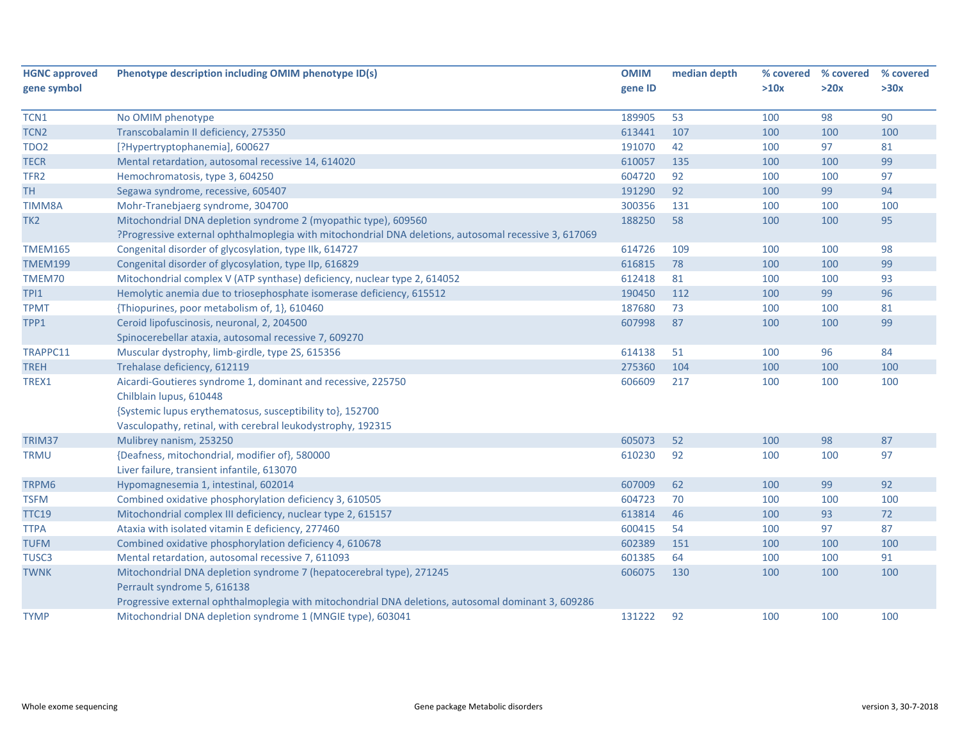| <b>HGNC approved</b> | Phenotype description including OMIM phenotype ID(s)                                                  | <b>OMIM</b> | median depth | % covered | % covered | % covered |
|----------------------|-------------------------------------------------------------------------------------------------------|-------------|--------------|-----------|-----------|-----------|
| gene symbol          |                                                                                                       | gene ID     |              | >10x      | >20x      | >30x      |
|                      |                                                                                                       |             |              |           |           |           |
| TCN1                 | No OMIM phenotype                                                                                     | 189905      | 53           | 100       | 98        | 90        |
| TCN <sub>2</sub>     | Transcobalamin II deficiency, 275350                                                                  | 613441      | 107          | 100       | 100       | 100       |
| <b>TDO2</b>          | [?Hypertryptophanemia], 600627                                                                        | 191070      | 42           | 100       | 97        | 81        |
| <b>TECR</b>          | Mental retardation, autosomal recessive 14, 614020                                                    | 610057      | 135          | 100       | 100       | 99        |
| TFR <sub>2</sub>     | Hemochromatosis, type 3, 604250                                                                       | 604720      | 92           | 100       | 100       | 97        |
| <b>TH</b>            | Segawa syndrome, recessive, 605407                                                                    | 191290      | 92           | 100       | 99        | 94        |
| <b>TIMM8A</b>        | Mohr-Tranebjaerg syndrome, 304700                                                                     | 300356      | 131          | 100       | 100       | 100       |
| TK <sub>2</sub>      | Mitochondrial DNA depletion syndrome 2 (myopathic type), 609560                                       | 188250      | 58           | 100       | 100       | 95        |
|                      | ?Progressive external ophthalmoplegia with mitochondrial DNA deletions, autosomal recessive 3, 617069 |             |              |           |           |           |
| <b>TMEM165</b>       | Congenital disorder of glycosylation, type IIk, 614727                                                | 614726      | 109          | 100       | 100       | 98        |
| <b>TMEM199</b>       | Congenital disorder of glycosylation, type IIp, 616829                                                | 616815      | 78           | 100       | 100       | 99        |
| TMEM70               | Mitochondrial complex V (ATP synthase) deficiency, nuclear type 2, 614052                             | 612418      | 81           | 100       | 100       | 93        |
| TPI1                 | Hemolytic anemia due to triosephosphate isomerase deficiency, 615512                                  | 190450      | 112          | 100       | 99        | 96        |
| <b>TPMT</b>          | {Thiopurines, poor metabolism of, 1}, 610460                                                          | 187680      | 73           | 100       | 100       | 81        |
| TPP1                 | Ceroid lipofuscinosis, neuronal, 2, 204500                                                            | 607998      | 87           | 100       | 100       | 99        |
|                      | Spinocerebellar ataxia, autosomal recessive 7, 609270                                                 |             |              |           |           |           |
| TRAPPC11             | Muscular dystrophy, limb-girdle, type 2S, 615356                                                      | 614138      | 51           | 100       | 96        | 84        |
| <b>TREH</b>          | Trehalase deficiency, 612119                                                                          | 275360      | 104          | 100       | 100       | 100       |
| TREX1                | Aicardi-Goutieres syndrome 1, dominant and recessive, 225750                                          | 606609      | 217          | 100       | 100       | 100       |
|                      | Chilblain lupus, 610448                                                                               |             |              |           |           |           |
|                      | {Systemic lupus erythematosus, susceptibility to}, 152700                                             |             |              |           |           |           |
|                      | Vasculopathy, retinal, with cerebral leukodystrophy, 192315                                           |             |              |           |           |           |
| TRIM37               | Mulibrey nanism, 253250                                                                               | 605073      | 52           | 100       | 98        | 87        |
| <b>TRMU</b>          | {Deafness, mitochondrial, modifier of}, 580000                                                        | 610230      | 92           | 100       | 100       | 97        |
|                      | Liver failure, transient infantile, 613070                                                            |             |              |           |           |           |
| TRPM6                | Hypomagnesemia 1, intestinal, 602014                                                                  | 607009      | 62           | 100       | 99        | 92        |
| <b>TSFM</b>          | Combined oxidative phosphorylation deficiency 3, 610505                                               | 604723      | 70           | 100       | 100       | 100       |
| <b>TTC19</b>         | Mitochondrial complex III deficiency, nuclear type 2, 615157                                          | 613814      | 46           | 100       | 93        | 72        |
| <b>TTPA</b>          | Ataxia with isolated vitamin E deficiency, 277460                                                     | 600415      | 54           | 100       | 97        | 87        |
| <b>TUFM</b>          | Combined oxidative phosphorylation deficiency 4, 610678                                               | 602389      | 151          | 100       | 100       | 100       |
| TUSC3                | Mental retardation, autosomal recessive 7, 611093                                                     | 601385      | 64           | 100       | 100       | 91        |
| <b>TWNK</b>          | Mitochondrial DNA depletion syndrome 7 (hepatocerebral type), 271245                                  | 606075      | 130          | 100       | 100       | 100       |
|                      | Perrault syndrome 5, 616138                                                                           |             |              |           |           |           |
|                      | Progressive external ophthalmoplegia with mitochondrial DNA deletions, autosomal dominant 3, 609286   |             |              |           |           |           |
| <b>TYMP</b>          | Mitochondrial DNA depletion syndrome 1 (MNGIE type), 603041                                           | 131222      | 92           | 100       | 100       | 100       |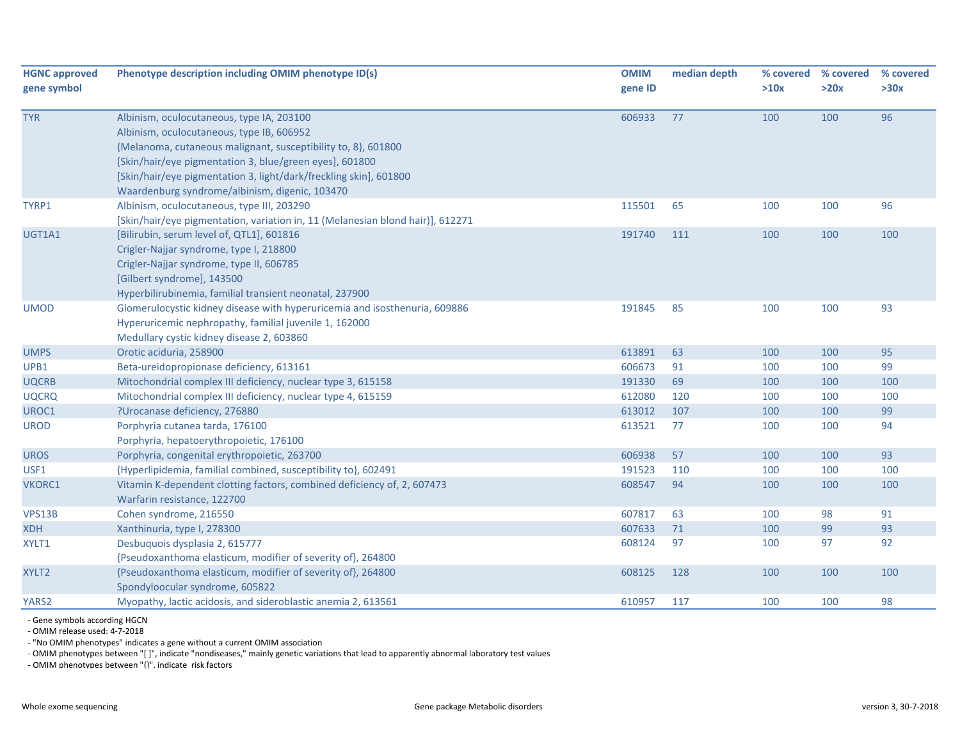| <b>HGNC approved</b><br>gene symbol | Phenotype description including OMIM phenotype ID(s)                                                                                                                                                                                                                                                                                      | <b>OMIM</b><br>gene ID | median depth | % covered<br>>10x | % covered<br>>20x | % covered<br>>30x |
|-------------------------------------|-------------------------------------------------------------------------------------------------------------------------------------------------------------------------------------------------------------------------------------------------------------------------------------------------------------------------------------------|------------------------|--------------|-------------------|-------------------|-------------------|
| <b>TYR</b>                          | Albinism, oculocutaneous, type IA, 203100<br>Albinism, oculocutaneous, type IB, 606952<br>{Melanoma, cutaneous malignant, susceptibility to, 8}, 601800<br>[Skin/hair/eye pigmentation 3, blue/green eyes], 601800<br>[Skin/hair/eye pigmentation 3, light/dark/freckling skin], 601800<br>Waardenburg syndrome/albinism, digenic, 103470 | 606933                 | 77           | 100               | 100               | 96                |
| TYRP1                               | Albinism, oculocutaneous, type III, 203290<br>[Skin/hair/eye pigmentation, variation in, 11 (Melanesian blond hair)], 612271                                                                                                                                                                                                              | 115501                 | 65           | 100               | 100               | 96                |
| UGT1A1                              | [Bilirubin, serum level of, QTL1], 601816<br>Crigler-Najjar syndrome, type I, 218800<br>Crigler-Najjar syndrome, type II, 606785<br>[Gilbert syndrome], 143500<br>Hyperbilirubinemia, familial transient neonatal, 237900                                                                                                                 | 191740                 | 111          | 100               | 100               | 100               |
| <b>UMOD</b>                         | Glomerulocystic kidney disease with hyperuricemia and isosthenuria, 609886<br>Hyperuricemic nephropathy, familial juvenile 1, 162000<br>Medullary cystic kidney disease 2, 603860                                                                                                                                                         | 191845                 | 85           | 100               | 100               | 93                |
| <b>UMPS</b>                         | Orotic aciduria, 258900                                                                                                                                                                                                                                                                                                                   | 613891                 | 63           | 100               | 100               | 95                |
| UPB1                                | Beta-ureidopropionase deficiency, 613161                                                                                                                                                                                                                                                                                                  | 606673                 | 91           | 100               | 100               | 99                |
| <b>UQCRB</b>                        | Mitochondrial complex III deficiency, nuclear type 3, 615158                                                                                                                                                                                                                                                                              | 191330                 | 69           | 100               | 100               | 100               |
| <b>UQCRQ</b>                        | Mitochondrial complex III deficiency, nuclear type 4, 615159                                                                                                                                                                                                                                                                              | 612080                 | 120          | 100               | 100               | 100               |
| UROC1                               | ?Urocanase deficiency, 276880                                                                                                                                                                                                                                                                                                             | 613012                 | 107          | 100               | 100               | 99                |
| <b>UROD</b>                         | Porphyria cutanea tarda, 176100<br>Porphyria, hepatoerythropoietic, 176100                                                                                                                                                                                                                                                                | 613521                 | 77           | 100               | 100               | 94                |
| <b>UROS</b>                         | Porphyria, congenital erythropoietic, 263700                                                                                                                                                                                                                                                                                              | 606938                 | 57           | 100               | 100               | 93                |
| USF1                                | {Hyperlipidemia, familial combined, susceptibility to}, 602491                                                                                                                                                                                                                                                                            | 191523                 | 110          | 100               | 100               | 100               |
| VKORC1                              | Vitamin K-dependent clotting factors, combined deficiency of, 2, 607473<br>Warfarin resistance, 122700                                                                                                                                                                                                                                    | 608547                 | 94           | 100               | 100               | 100               |
| VPS13B                              | Cohen syndrome, 216550                                                                                                                                                                                                                                                                                                                    | 607817                 | 63           | 100               | 98                | 91                |
| <b>XDH</b>                          | Xanthinuria, type I, 278300                                                                                                                                                                                                                                                                                                               | 607633                 | 71           | 100               | 99                | 93                |
| XYLT1                               | Desbuquois dysplasia 2, 615777<br>{Pseudoxanthoma elasticum, modifier of severity of}, 264800                                                                                                                                                                                                                                             | 608124                 | 97           | 100               | 97                | 92                |
| XYLT2                               | {Pseudoxanthoma elasticum, modifier of severity of}, 264800<br>Spondyloocular syndrome, 605822                                                                                                                                                                                                                                            | 608125                 | 128          | 100               | 100               | 100               |
| YARS2                               | Myopathy, lactic acidosis, and sideroblastic anemia 2, 613561                                                                                                                                                                                                                                                                             | 610957                 | 117          | 100               | 100               | 98                |

‐ Gene symbols according HGCN

‐ OMIM release used: 4‐7‐2018

‐ "No OMIM phenotypes" indicates <sup>a</sup> gene without <sup>a</sup> current OMIM association

‐ OMIM phenotypes between "[ ]", indicate "nondiseases," mainly genetic variations that lead to apparently abnormal laboratory test values

‐ OMIM phenotypes between "{}", indicate risk factors